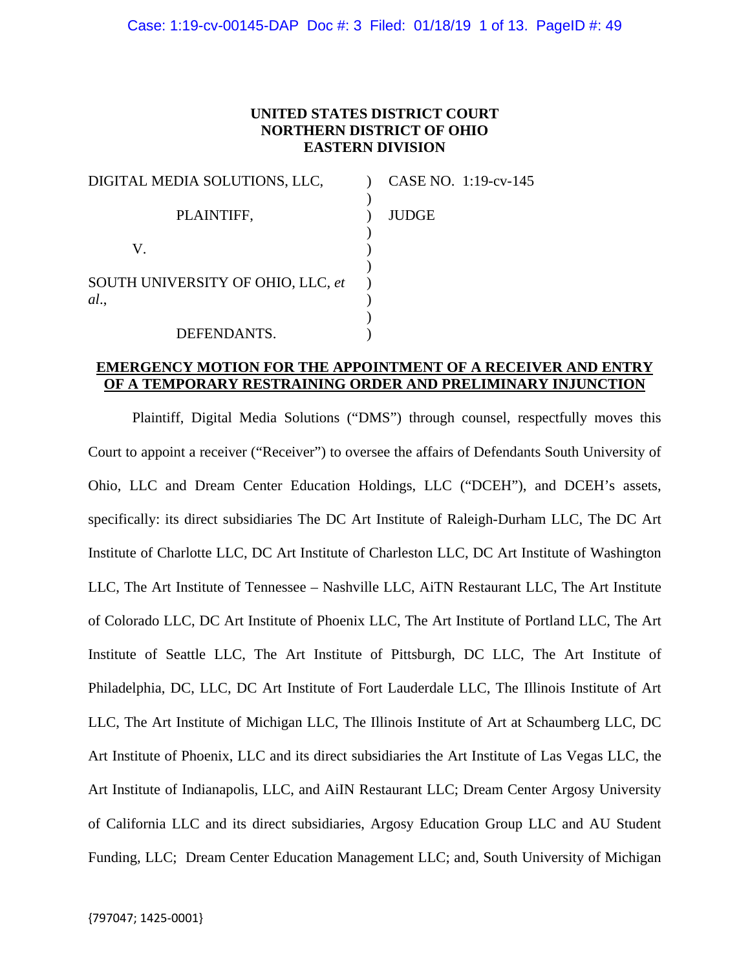# **UNITED STATES DISTRICT COURT NORTHERN DISTRICT OF OHIO EASTERN DIVISION**

| DIGITAL MEDIA SOLUTIONS, LLC,     | CASE NO. 1:19-cv-145 |
|-----------------------------------|----------------------|
| PLAINTIFF,                        | <b>JUDGE</b>         |
| V.                                |                      |
| SOUTH UNIVERSITY OF OHIO, LLC, et |                      |
| al.                               |                      |
| DEFENDANTS.                       |                      |

# **EMERGENCY MOTION FOR THE APPOINTMENT OF A RECEIVER AND ENTRY OF A TEMPORARY RESTRAINING ORDER AND PRELIMINARY INJUNCTION**

 Plaintiff, Digital Media Solutions ("DMS") through counsel, respectfully moves this Court to appoint a receiver ("Receiver") to oversee the affairs of Defendants South University of Ohio, LLC and Dream Center Education Holdings, LLC ("DCEH"), and DCEH's assets, specifically: its direct subsidiaries The DC Art Institute of Raleigh-Durham LLC, The DC Art Institute of Charlotte LLC, DC Art Institute of Charleston LLC, DC Art Institute of Washington LLC, The Art Institute of Tennessee – Nashville LLC, AiTN Restaurant LLC, The Art Institute of Colorado LLC, DC Art Institute of Phoenix LLC, The Art Institute of Portland LLC, The Art Institute of Seattle LLC, The Art Institute of Pittsburgh, DC LLC, The Art Institute of Philadelphia, DC, LLC, DC Art Institute of Fort Lauderdale LLC, The Illinois Institute of Art LLC, The Art Institute of Michigan LLC, The Illinois Institute of Art at Schaumberg LLC, DC Art Institute of Phoenix, LLC and its direct subsidiaries the Art Institute of Las Vegas LLC, the Art Institute of Indianapolis, LLC, and AiIN Restaurant LLC; Dream Center Argosy University of California LLC and its direct subsidiaries, Argosy Education Group LLC and AU Student Funding, LLC; Dream Center Education Management LLC; and, South University of Michigan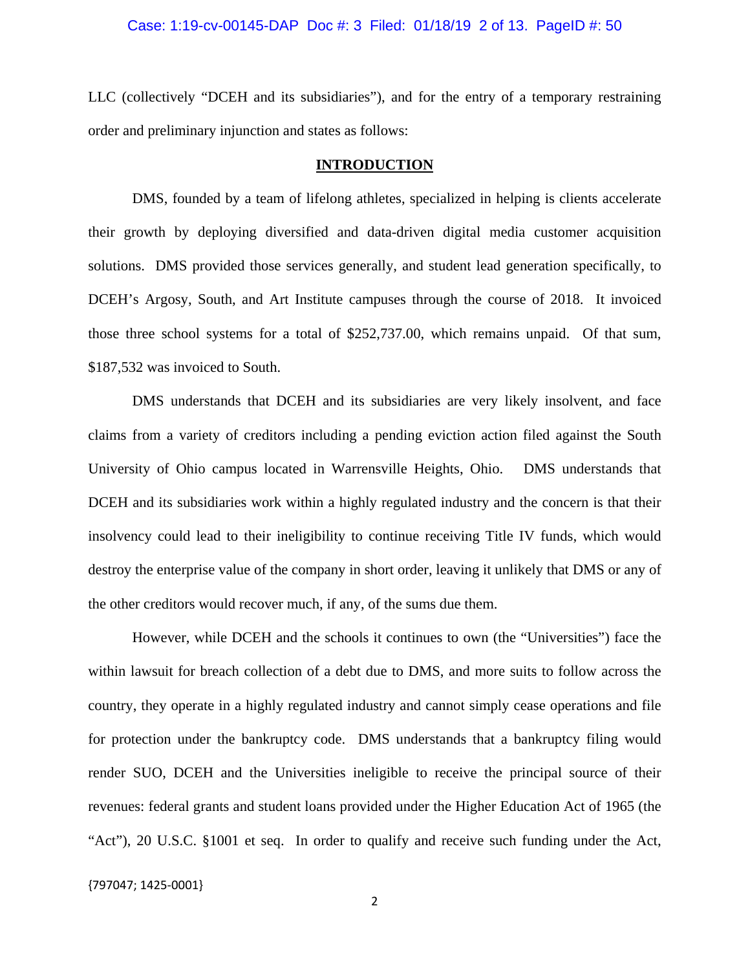LLC (collectively "DCEH and its subsidiaries"), and for the entry of a temporary restraining order and preliminary injunction and states as follows:

## **INTRODUCTION**

DMS, founded by a team of lifelong athletes, specialized in helping is clients accelerate their growth by deploying diversified and data-driven digital media customer acquisition solutions. DMS provided those services generally, and student lead generation specifically, to DCEH's Argosy, South, and Art Institute campuses through the course of 2018. It invoiced those three school systems for a total of \$252,737.00, which remains unpaid. Of that sum, \$187,532 was invoiced to South.

DMS understands that DCEH and its subsidiaries are very likely insolvent, and face claims from a variety of creditors including a pending eviction action filed against the South University of Ohio campus located in Warrensville Heights, Ohio. DMS understands that DCEH and its subsidiaries work within a highly regulated industry and the concern is that their insolvency could lead to their ineligibility to continue receiving Title IV funds, which would destroy the enterprise value of the company in short order, leaving it unlikely that DMS or any of the other creditors would recover much, if any, of the sums due them.

However, while DCEH and the schools it continues to own (the "Universities") face the within lawsuit for breach collection of a debt due to DMS, and more suits to follow across the country, they operate in a highly regulated industry and cannot simply cease operations and file for protection under the bankruptcy code. DMS understands that a bankruptcy filing would render SUO, DCEH and the Universities ineligible to receive the principal source of their revenues: federal grants and student loans provided under the Higher Education Act of 1965 (the "Act"), 20 U.S.C. §1001 et seq. In order to qualify and receive such funding under the Act,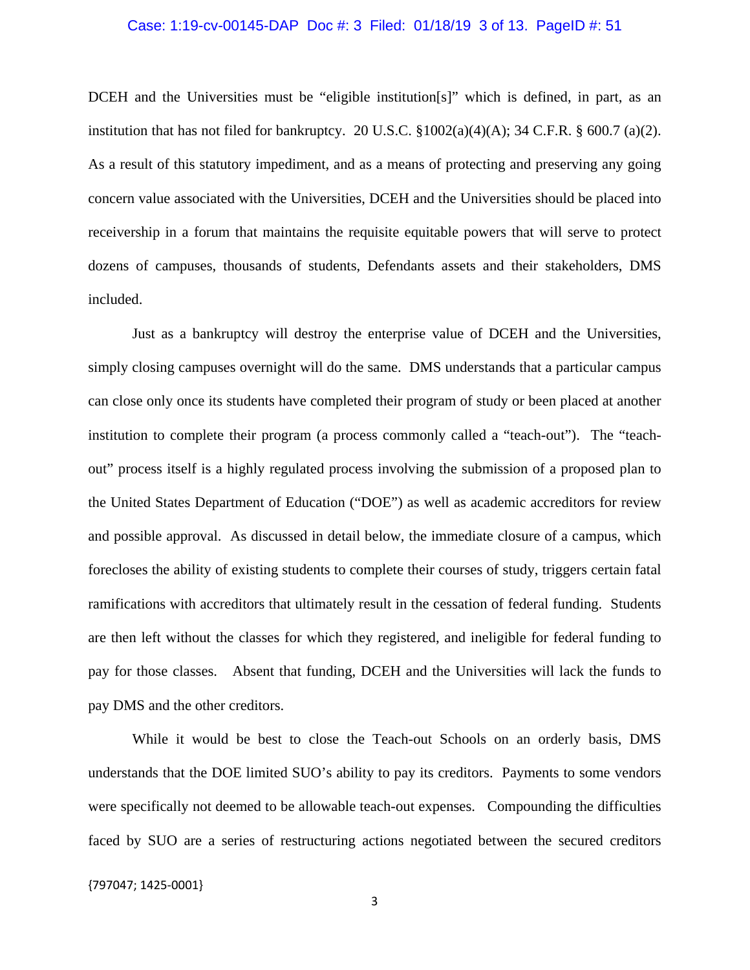## Case: 1:19-cv-00145-DAP Doc #: 3 Filed: 01/18/19 3 of 13. PageID #: 51

DCEH and the Universities must be "eligible institution[s]" which is defined, in part, as an institution that has not filed for bankruptcy. 20 U.S.C.  $\frac{1002(a)(4)(A)}{34 C.F.R. \frac{8}{9}600.7 \text{ (a)}(2)}$ . As a result of this statutory impediment, and as a means of protecting and preserving any going concern value associated with the Universities, DCEH and the Universities should be placed into receivership in a forum that maintains the requisite equitable powers that will serve to protect dozens of campuses, thousands of students, Defendants assets and their stakeholders, DMS included.

Just as a bankruptcy will destroy the enterprise value of DCEH and the Universities, simply closing campuses overnight will do the same. DMS understands that a particular campus can close only once its students have completed their program of study or been placed at another institution to complete their program (a process commonly called a "teach-out"). The "teachout" process itself is a highly regulated process involving the submission of a proposed plan to the United States Department of Education ("DOE") as well as academic accreditors for review and possible approval. As discussed in detail below, the immediate closure of a campus, which forecloses the ability of existing students to complete their courses of study, triggers certain fatal ramifications with accreditors that ultimately result in the cessation of federal funding. Students are then left without the classes for which they registered, and ineligible for federal funding to pay for those classes. Absent that funding, DCEH and the Universities will lack the funds to pay DMS and the other creditors.

While it would be best to close the Teach-out Schools on an orderly basis, DMS understands that the DOE limited SUO's ability to pay its creditors. Payments to some vendors were specifically not deemed to be allowable teach-out expenses. Compounding the difficulties faced by SUO are a series of restructuring actions negotiated between the secured creditors

{797047; 1425‐0001}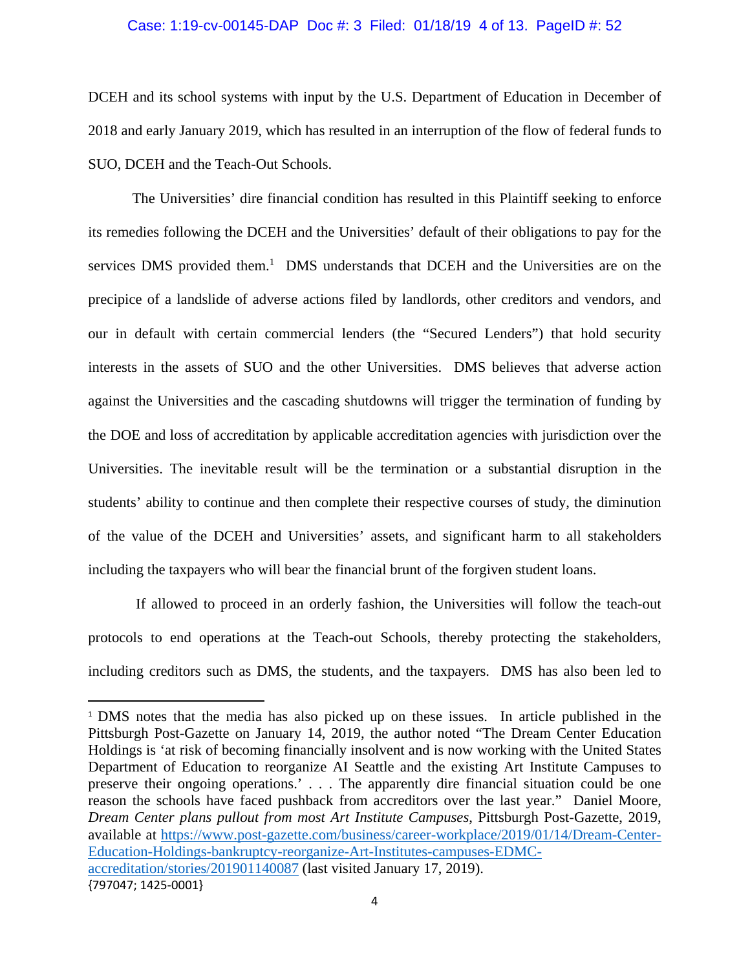## Case: 1:19-cv-00145-DAP Doc #: 3 Filed: 01/18/19 4 of 13. PageID #: 52

DCEH and its school systems with input by the U.S. Department of Education in December of 2018 and early January 2019, which has resulted in an interruption of the flow of federal funds to SUO, DCEH and the Teach-Out Schools.

The Universities' dire financial condition has resulted in this Plaintiff seeking to enforce its remedies following the DCEH and the Universities' default of their obligations to pay for the services DMS provided them.<sup>1</sup> DMS understands that DCEH and the Universities are on the precipice of a landslide of adverse actions filed by landlords, other creditors and vendors, and our in default with certain commercial lenders (the "Secured Lenders") that hold security interests in the assets of SUO and the other Universities. DMS believes that adverse action against the Universities and the cascading shutdowns will trigger the termination of funding by the DOE and loss of accreditation by applicable accreditation agencies with jurisdiction over the Universities. The inevitable result will be the termination or a substantial disruption in the students' ability to continue and then complete their respective courses of study, the diminution of the value of the DCEH and Universities' assets, and significant harm to all stakeholders including the taxpayers who will bear the financial brunt of the forgiven student loans.

 If allowed to proceed in an orderly fashion, the Universities will follow the teach-out protocols to end operations at the Teach-out Schools, thereby protecting the stakeholders, including creditors such as DMS, the students, and the taxpayers. DMS has also been led to

<sup>{797047;</sup> 1425‐0001} <sup>1</sup> DMS notes that the media has also picked up on these issues. In article published in the Pittsburgh Post-Gazette on January 14, 2019, the author noted "The Dream Center Education Holdings is 'at risk of becoming financially insolvent and is now working with the United States Department of Education to reorganize AI Seattle and the existing Art Institute Campuses to preserve their ongoing operations.' . . . The apparently dire financial situation could be one reason the schools have faced pushback from accreditors over the last year." Daniel Moore, *Dream Center plans pullout from most Art Institute Campuses*, Pittsburgh Post-Gazette, 2019, available at https://www.post-gazette.com/business/career-workplace/2019/01/14/Dream-Center-Education-Holdings-bankruptcy-reorganize-Art-Institutes-campuses-EDMCaccreditation/stories/201901140087 (last visited January 17, 2019).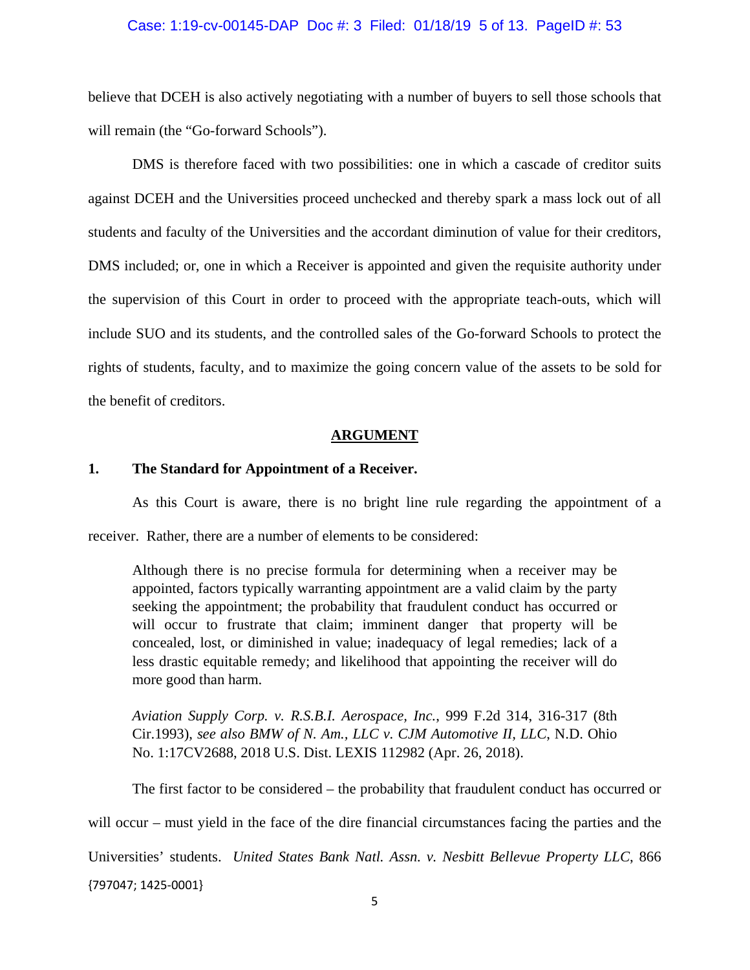## Case: 1:19-cv-00145-DAP Doc #: 3 Filed: 01/18/19 5 of 13. PageID #: 53

believe that DCEH is also actively negotiating with a number of buyers to sell those schools that will remain (the "Go-forward Schools").

DMS is therefore faced with two possibilities: one in which a cascade of creditor suits against DCEH and the Universities proceed unchecked and thereby spark a mass lock out of all students and faculty of the Universities and the accordant diminution of value for their creditors, DMS included; or, one in which a Receiver is appointed and given the requisite authority under the supervision of this Court in order to proceed with the appropriate teach-outs, which will include SUO and its students, and the controlled sales of the Go-forward Schools to protect the rights of students, faculty, and to maximize the going concern value of the assets to be sold for the benefit of creditors.

## **ARGUMENT**

## **1. The Standard for Appointment of a Receiver.**

As this Court is aware, there is no bright line rule regarding the appointment of a receiver. Rather, there are a number of elements to be considered:

Although there is no precise formula for determining when a receiver may be appointed, factors typically warranting appointment are a valid claim by the party seeking the appointment; the probability that fraudulent conduct has occurred or will occur to frustrate that claim; imminent danger that property will be concealed, lost, or diminished in value; inadequacy of legal remedies; lack of a less drastic equitable remedy; and likelihood that appointing the receiver will do more good than harm.

*Aviation Supply Corp. v. R.S.B.I. Aerospace, Inc.*, 999 F.2d 314, 316-317 (8th Cir.1993), *see also BMW of N. Am., LLC v. CJM Automotive II, LLC*, N.D. Ohio No. 1:17CV2688, 2018 U.S. Dist. LEXIS 112982 (Apr. 26, 2018).

{797047; 1425‐0001} The first factor to be considered – the probability that fraudulent conduct has occurred or will occur – must yield in the face of the dire financial circumstances facing the parties and the Universities' students. *United States Bank Natl. Assn. v. Nesbitt Bellevue Property LLC*, 866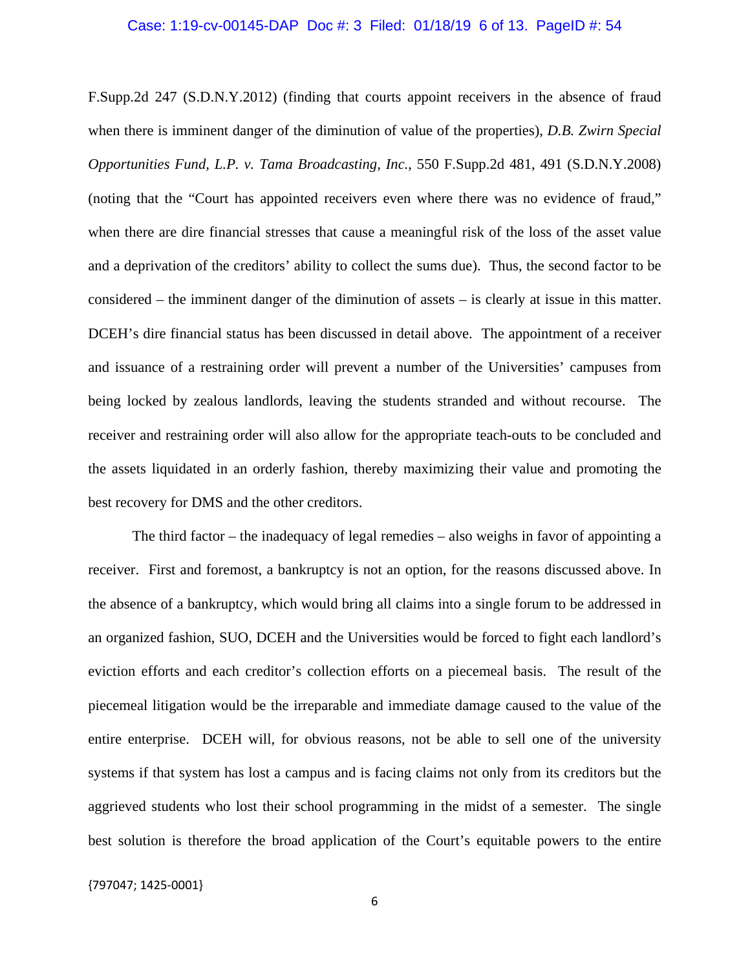## Case: 1:19-cv-00145-DAP Doc #: 3 Filed: 01/18/19 6 of 13. PageID #: 54

F.Supp.2d 247 (S.D.N.Y.2012) (finding that courts appoint receivers in the absence of fraud when there is imminent danger of the diminution of value of the properties), *D.B. Zwirn Special Opportunities Fund, L.P. v. Tama Broadcasting, Inc.*, 550 F.Supp.2d 481, 491 (S.D.N.Y.2008) (noting that the "Court has appointed receivers even where there was no evidence of fraud," when there are dire financial stresses that cause a meaningful risk of the loss of the asset value and a deprivation of the creditors' ability to collect the sums due). Thus, the second factor to be considered – the imminent danger of the diminution of assets – is clearly at issue in this matter. DCEH's dire financial status has been discussed in detail above. The appointment of a receiver and issuance of a restraining order will prevent a number of the Universities' campuses from being locked by zealous landlords, leaving the students stranded and without recourse. The receiver and restraining order will also allow for the appropriate teach-outs to be concluded and the assets liquidated in an orderly fashion, thereby maximizing their value and promoting the best recovery for DMS and the other creditors.

 The third factor – the inadequacy of legal remedies – also weighs in favor of appointing a receiver. First and foremost, a bankruptcy is not an option, for the reasons discussed above. In the absence of a bankruptcy, which would bring all claims into a single forum to be addressed in an organized fashion, SUO, DCEH and the Universities would be forced to fight each landlord's eviction efforts and each creditor's collection efforts on a piecemeal basis. The result of the piecemeal litigation would be the irreparable and immediate damage caused to the value of the entire enterprise. DCEH will, for obvious reasons, not be able to sell one of the university systems if that system has lost a campus and is facing claims not only from its creditors but the aggrieved students who lost their school programming in the midst of a semester. The single best solution is therefore the broad application of the Court's equitable powers to the entire

{797047; 1425‐0001}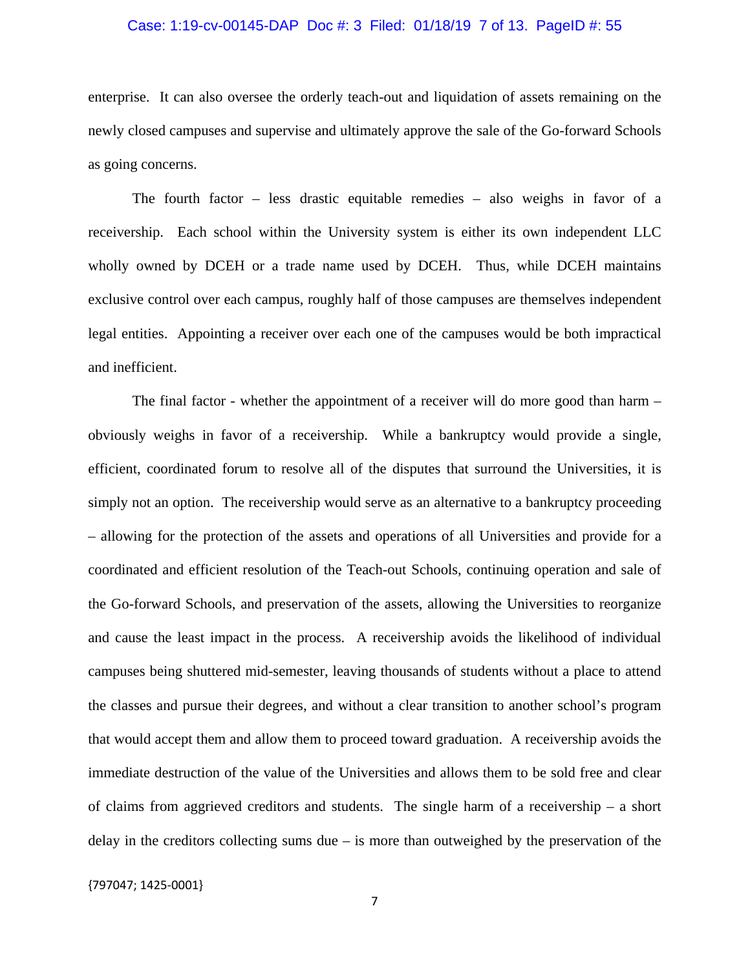## Case: 1:19-cv-00145-DAP Doc #: 3 Filed: 01/18/19 7 of 13. PageID #: 55

enterprise. It can also oversee the orderly teach-out and liquidation of assets remaining on the newly closed campuses and supervise and ultimately approve the sale of the Go-forward Schools as going concerns.

 The fourth factor – less drastic equitable remedies – also weighs in favor of a receivership. Each school within the University system is either its own independent LLC wholly owned by DCEH or a trade name used by DCEH. Thus, while DCEH maintains exclusive control over each campus, roughly half of those campuses are themselves independent legal entities. Appointing a receiver over each one of the campuses would be both impractical and inefficient.

 The final factor - whether the appointment of a receiver will do more good than harm – obviously weighs in favor of a receivership. While a bankruptcy would provide a single, efficient, coordinated forum to resolve all of the disputes that surround the Universities, it is simply not an option. The receivership would serve as an alternative to a bankruptcy proceeding – allowing for the protection of the assets and operations of all Universities and provide for a coordinated and efficient resolution of the Teach-out Schools, continuing operation and sale of the Go-forward Schools, and preservation of the assets, allowing the Universities to reorganize and cause the least impact in the process. A receivership avoids the likelihood of individual campuses being shuttered mid-semester, leaving thousands of students without a place to attend the classes and pursue their degrees, and without a clear transition to another school's program that would accept them and allow them to proceed toward graduation. A receivership avoids the immediate destruction of the value of the Universities and allows them to be sold free and clear of claims from aggrieved creditors and students. The single harm of a receivership – a short delay in the creditors collecting sums due  $-$  is more than outweighed by the preservation of the

{797047; 1425‐0001}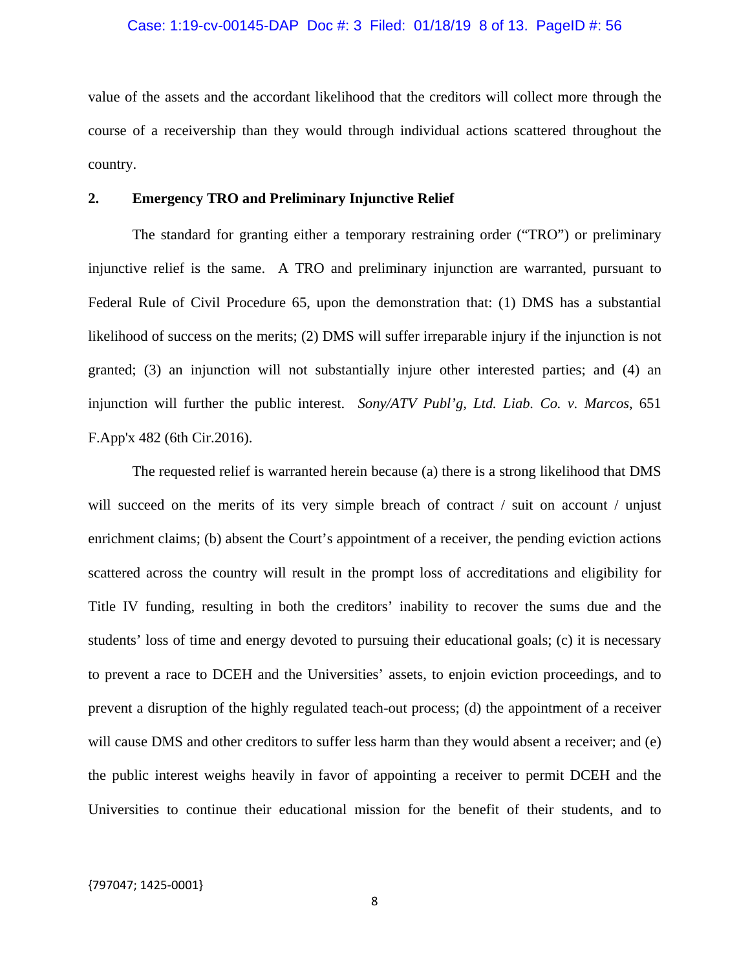## Case: 1:19-cv-00145-DAP Doc #: 3 Filed: 01/18/19 8 of 13. PageID #: 56

value of the assets and the accordant likelihood that the creditors will collect more through the course of a receivership than they would through individual actions scattered throughout the country.

## **2. Emergency TRO and Preliminary Injunctive Relief**

The standard for granting either a temporary restraining order ("TRO") or preliminary injunctive relief is the same. A TRO and preliminary injunction are warranted, pursuant to Federal Rule of Civil Procedure 65, upon the demonstration that: (1) DMS has a substantial likelihood of success on the merits; (2) DMS will suffer irreparable injury if the injunction is not granted; (3) an injunction will not substantially injure other interested parties; and (4) an injunction will further the public interest. *Sony/ATV Publ'g, Ltd. Liab. Co. v. Marcos*, 651 F.App'x 482 (6th Cir.2016).

 The requested relief is warranted herein because (a) there is a strong likelihood that DMS will succeed on the merits of its very simple breach of contract / suit on account / unjust enrichment claims; (b) absent the Court's appointment of a receiver, the pending eviction actions scattered across the country will result in the prompt loss of accreditations and eligibility for Title IV funding, resulting in both the creditors' inability to recover the sums due and the students' loss of time and energy devoted to pursuing their educational goals; (c) it is necessary to prevent a race to DCEH and the Universities' assets, to enjoin eviction proceedings, and to prevent a disruption of the highly regulated teach-out process; (d) the appointment of a receiver will cause DMS and other creditors to suffer less harm than they would absent a receiver; and (e) the public interest weighs heavily in favor of appointing a receiver to permit DCEH and the Universities to continue their educational mission for the benefit of their students, and to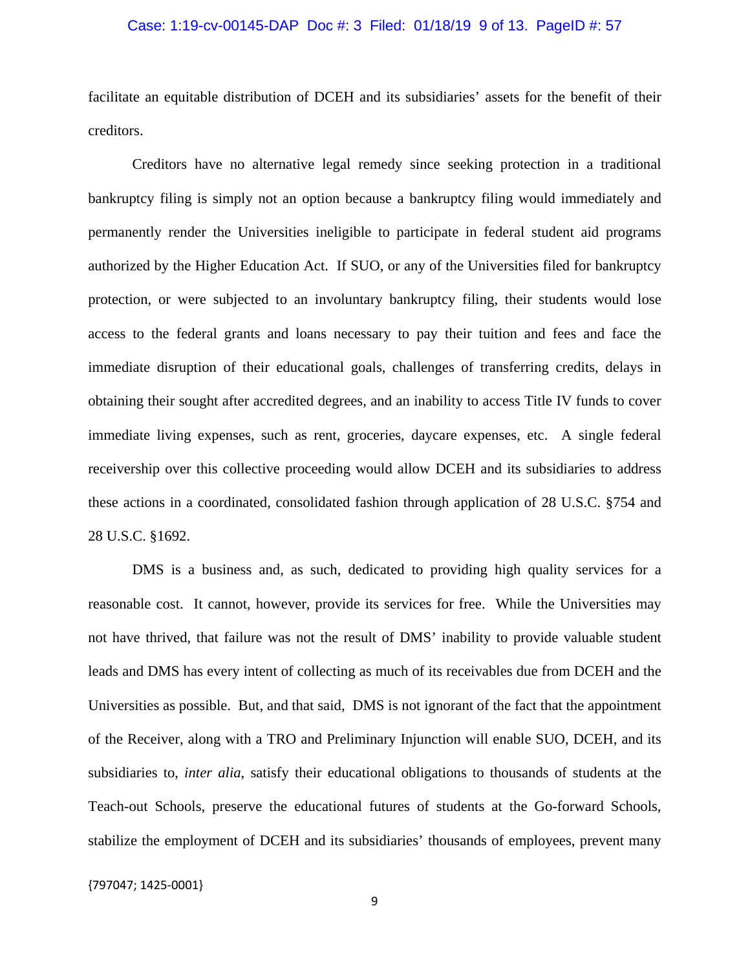## Case: 1:19-cv-00145-DAP Doc #: 3 Filed: 01/18/19 9 of 13. PageID #: 57

facilitate an equitable distribution of DCEH and its subsidiaries' assets for the benefit of their creditors.

 Creditors have no alternative legal remedy since seeking protection in a traditional bankruptcy filing is simply not an option because a bankruptcy filing would immediately and permanently render the Universities ineligible to participate in federal student aid programs authorized by the Higher Education Act. If SUO, or any of the Universities filed for bankruptcy protection, or were subjected to an involuntary bankruptcy filing, their students would lose access to the federal grants and loans necessary to pay their tuition and fees and face the immediate disruption of their educational goals, challenges of transferring credits, delays in obtaining their sought after accredited degrees, and an inability to access Title IV funds to cover immediate living expenses, such as rent, groceries, daycare expenses, etc. A single federal receivership over this collective proceeding would allow DCEH and its subsidiaries to address these actions in a coordinated, consolidated fashion through application of 28 U.S.C. §754 and 28 U.S.C. §1692.

 DMS is a business and, as such, dedicated to providing high quality services for a reasonable cost. It cannot, however, provide its services for free. While the Universities may not have thrived, that failure was not the result of DMS' inability to provide valuable student leads and DMS has every intent of collecting as much of its receivables due from DCEH and the Universities as possible. But, and that said, DMS is not ignorant of the fact that the appointment of the Receiver, along with a TRO and Preliminary Injunction will enable SUO, DCEH, and its subsidiaries to, *inter alia*, satisfy their educational obligations to thousands of students at the Teach-out Schools, preserve the educational futures of students at the Go-forward Schools, stabilize the employment of DCEH and its subsidiaries' thousands of employees, prevent many

{797047; 1425‐0001}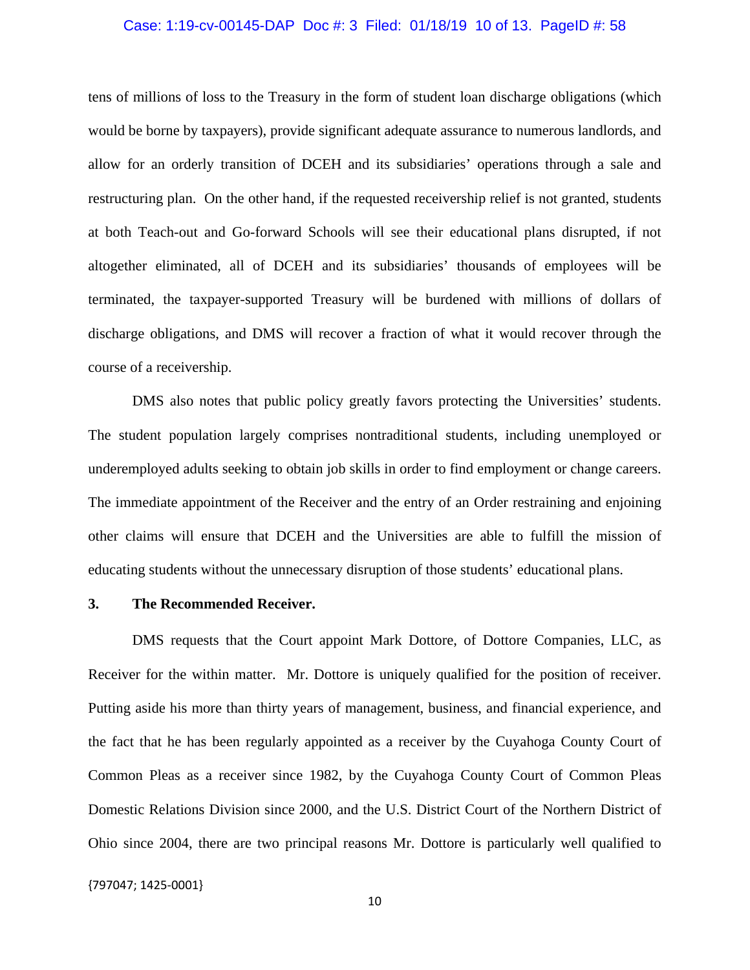#### Case: 1:19-cv-00145-DAP Doc #: 3 Filed: 01/18/19 10 of 13. PageID #: 58

tens of millions of loss to the Treasury in the form of student loan discharge obligations (which would be borne by taxpayers), provide significant adequate assurance to numerous landlords, and allow for an orderly transition of DCEH and its subsidiaries' operations through a sale and restructuring plan. On the other hand, if the requested receivership relief is not granted, students at both Teach-out and Go-forward Schools will see their educational plans disrupted, if not altogether eliminated, all of DCEH and its subsidiaries' thousands of employees will be terminated, the taxpayer-supported Treasury will be burdened with millions of dollars of discharge obligations, and DMS will recover a fraction of what it would recover through the course of a receivership.

 DMS also notes that public policy greatly favors protecting the Universities' students. The student population largely comprises nontraditional students, including unemployed or underemployed adults seeking to obtain job skills in order to find employment or change careers. The immediate appointment of the Receiver and the entry of an Order restraining and enjoining other claims will ensure that DCEH and the Universities are able to fulfill the mission of educating students without the unnecessary disruption of those students' educational plans.

## **3. The Recommended Receiver.**

 DMS requests that the Court appoint Mark Dottore, of Dottore Companies, LLC, as Receiver for the within matter. Mr. Dottore is uniquely qualified for the position of receiver. Putting aside his more than thirty years of management, business, and financial experience, and the fact that he has been regularly appointed as a receiver by the Cuyahoga County Court of Common Pleas as a receiver since 1982, by the Cuyahoga County Court of Common Pleas Domestic Relations Division since 2000, and the U.S. District Court of the Northern District of Ohio since 2004, there are two principal reasons Mr. Dottore is particularly well qualified to

{797047; 1425‐0001}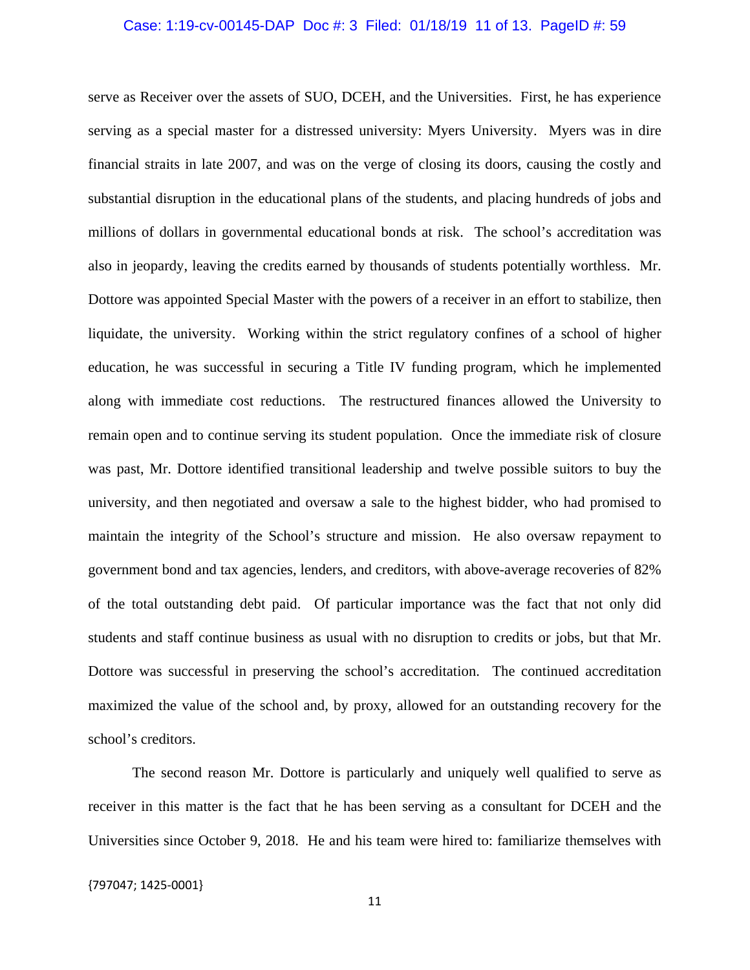#### Case: 1:19-cv-00145-DAP Doc #: 3 Filed: 01/18/19 11 of 13. PageID #: 59

serve as Receiver over the assets of SUO, DCEH, and the Universities. First, he has experience serving as a special master for a distressed university: Myers University. Myers was in dire financial straits in late 2007, and was on the verge of closing its doors, causing the costly and substantial disruption in the educational plans of the students, and placing hundreds of jobs and millions of dollars in governmental educational bonds at risk. The school's accreditation was also in jeopardy, leaving the credits earned by thousands of students potentially worthless. Mr. Dottore was appointed Special Master with the powers of a receiver in an effort to stabilize, then liquidate, the university. Working within the strict regulatory confines of a school of higher education, he was successful in securing a Title IV funding program, which he implemented along with immediate cost reductions. The restructured finances allowed the University to remain open and to continue serving its student population. Once the immediate risk of closure was past, Mr. Dottore identified transitional leadership and twelve possible suitors to buy the university, and then negotiated and oversaw a sale to the highest bidder, who had promised to maintain the integrity of the School's structure and mission. He also oversaw repayment to government bond and tax agencies, lenders, and creditors, with above-average recoveries of 82% of the total outstanding debt paid. Of particular importance was the fact that not only did students and staff continue business as usual with no disruption to credits or jobs, but that Mr. Dottore was successful in preserving the school's accreditation. The continued accreditation maximized the value of the school and, by proxy, allowed for an outstanding recovery for the school's creditors.

 The second reason Mr. Dottore is particularly and uniquely well qualified to serve as receiver in this matter is the fact that he has been serving as a consultant for DCEH and the Universities since October 9, 2018. He and his team were hired to: familiarize themselves with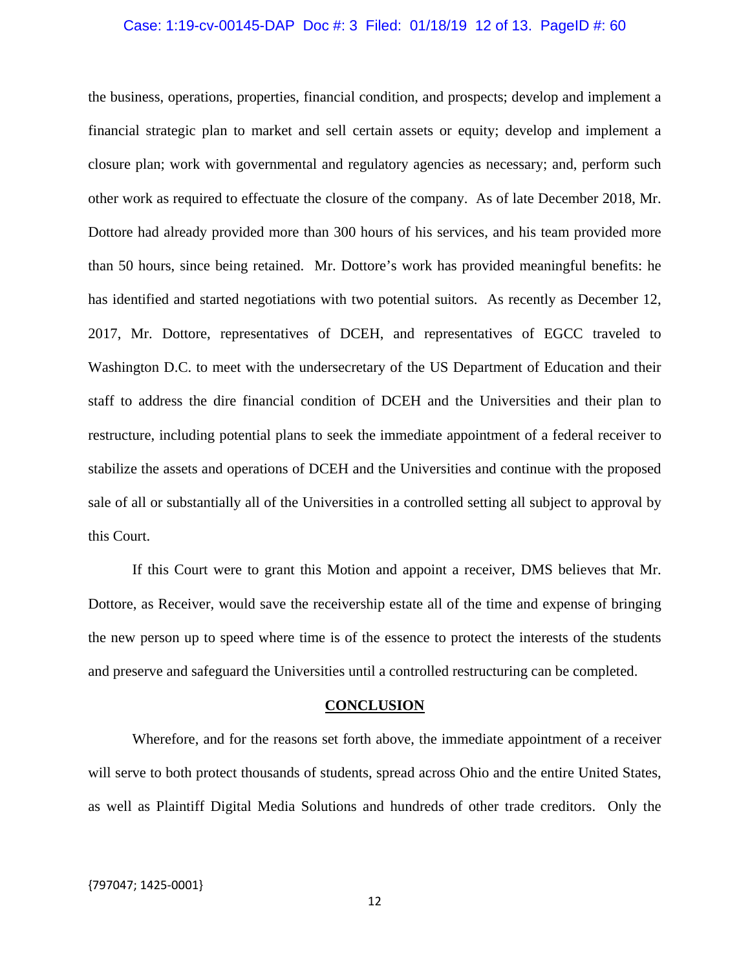## Case: 1:19-cv-00145-DAP Doc #: 3 Filed: 01/18/19 12 of 13. PageID #: 60

the business, operations, properties, financial condition, and prospects; develop and implement a financial strategic plan to market and sell certain assets or equity; develop and implement a closure plan; work with governmental and regulatory agencies as necessary; and, perform such other work as required to effectuate the closure of the company. As of late December 2018, Mr. Dottore had already provided more than 300 hours of his services, and his team provided more than 50 hours, since being retained. Mr. Dottore's work has provided meaningful benefits: he has identified and started negotiations with two potential suitors. As recently as December 12, 2017, Mr. Dottore, representatives of DCEH, and representatives of EGCC traveled to Washington D.C. to meet with the undersecretary of the US Department of Education and their staff to address the dire financial condition of DCEH and the Universities and their plan to restructure, including potential plans to seek the immediate appointment of a federal receiver to stabilize the assets and operations of DCEH and the Universities and continue with the proposed sale of all or substantially all of the Universities in a controlled setting all subject to approval by this Court.

 If this Court were to grant this Motion and appoint a receiver, DMS believes that Mr. Dottore, as Receiver, would save the receivership estate all of the time and expense of bringing the new person up to speed where time is of the essence to protect the interests of the students and preserve and safeguard the Universities until a controlled restructuring can be completed.

#### **CONCLUSION**

 Wherefore, and for the reasons set forth above, the immediate appointment of a receiver will serve to both protect thousands of students, spread across Ohio and the entire United States, as well as Plaintiff Digital Media Solutions and hundreds of other trade creditors. Only the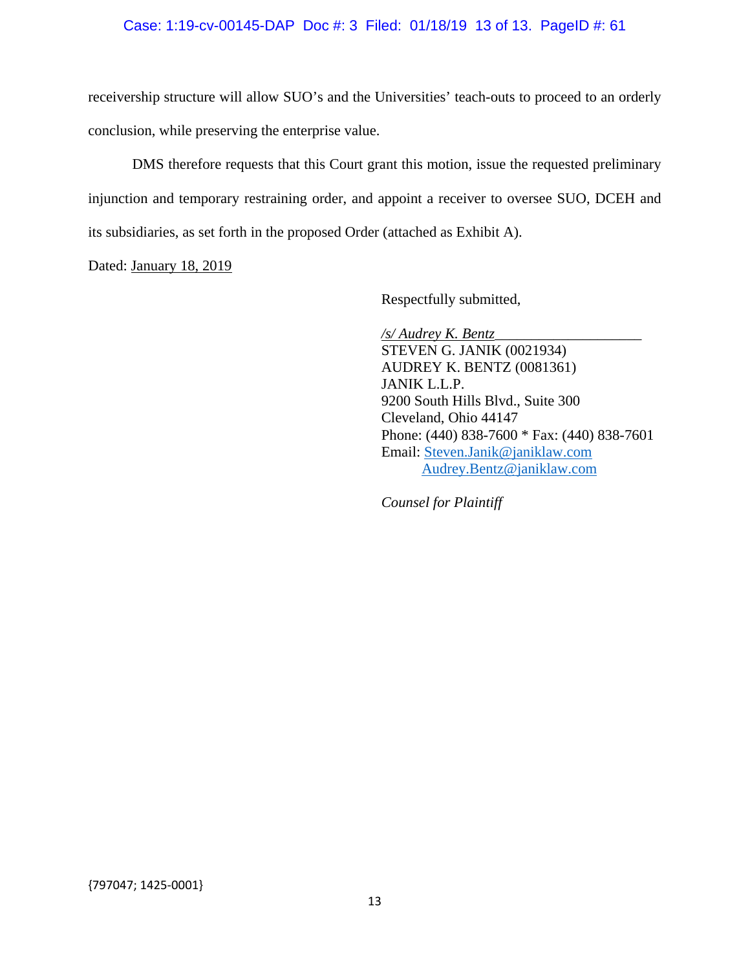## Case: 1:19-cv-00145-DAP Doc #: 3 Filed: 01/18/19 13 of 13. PageID #: 61

receivership structure will allow SUO's and the Universities' teach-outs to proceed to an orderly conclusion, while preserving the enterprise value.

 DMS therefore requests that this Court grant this motion, issue the requested preliminary injunction and temporary restraining order, and appoint a receiver to oversee SUO, DCEH and its subsidiaries, as set forth in the proposed Order (attached as Exhibit A).

Dated: January 18, 2019

Respectfully submitted,

*/s/ Audrey K. Bentz\_\_\_\_\_\_\_\_\_\_\_\_\_\_\_\_\_\_\_\_*  STEVEN G. JANIK (0021934) AUDREY K. BENTZ (0081361) JANIK L.L.P. 9200 South Hills Blvd., Suite 300 Cleveland, Ohio 44147 Phone: (440) 838-7600 \* Fax: (440) 838-7601 Email: Steven.Janik@janiklaw.com Audrey.Bentz@janiklaw.com

*Counsel for Plaintiff*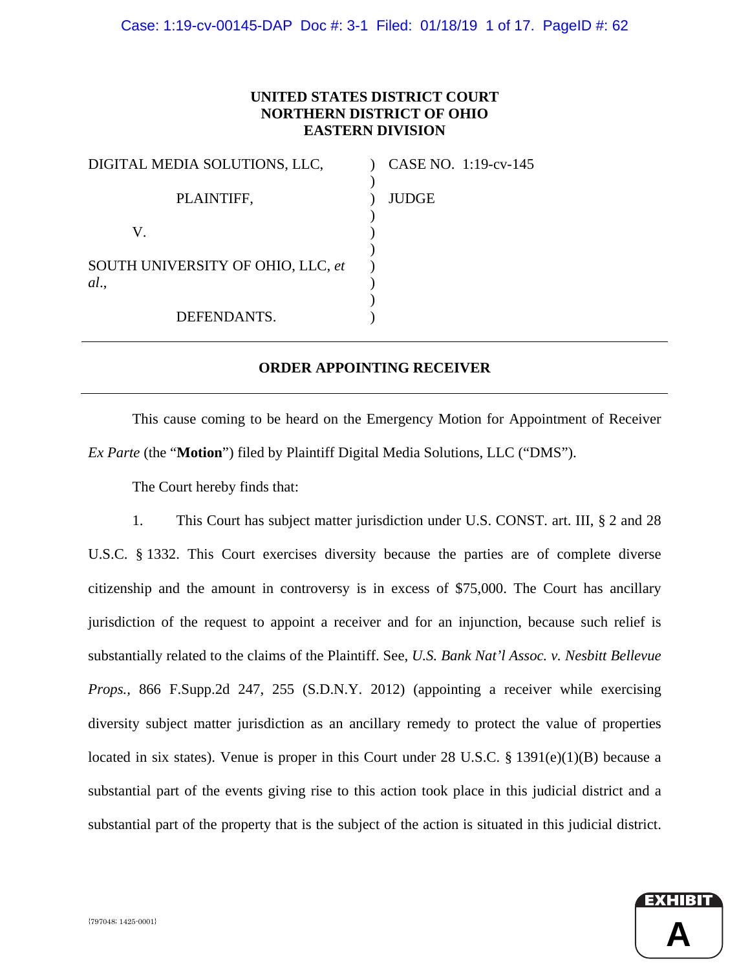# **UNITED STATES DISTRICT COURT NORTHERN DISTRICT OF OHIO EASTERN DIVISION**

| DIGITAL MEDIA SOLUTIONS, LLC,     | CASE NO. 1:19-cv-145 |
|-----------------------------------|----------------------|
| PLAINTIFF,                        | <b>JUDGE</b>         |
| V.                                |                      |
| SOUTH UNIVERSITY OF OHIO, LLC, et |                      |
| al.                               |                      |
| DEFENDANTS.                       |                      |

# **ORDER APPOINTING RECEIVER**

 This cause coming to be heard on the Emergency Motion for Appointment of Receiver *Ex Parte* (the "**Motion**") filed by Plaintiff Digital Media Solutions, LLC ("DMS").

The Court hereby finds that:

1. This Court has subject matter jurisdiction under U.S. CONST. art. III, § 2 and 28 U.S.C. § 1332. This Court exercises diversity because the parties are of complete diverse citizenship and the amount in controversy is in excess of \$75,000. The Court has ancillary jurisdiction of the request to appoint a receiver and for an injunction, because such relief is substantially related to the claims of the Plaintiff. See, *U.S. Bank Nat'l Assoc. v. Nesbitt Bellevue Props.,* 866 F.Supp.2d 247, 255 (S.D.N.Y. 2012) (appointing a receiver while exercising diversity subject matter jurisdiction as an ancillary remedy to protect the value of properties located in six states). Venue is proper in this Court under 28 U.S.C. § 1391(e)(1)(B) because a substantial part of the events giving rise to this action took place in this judicial district and a substantial part of the property that is the subject of the action is situated in this judicial district.

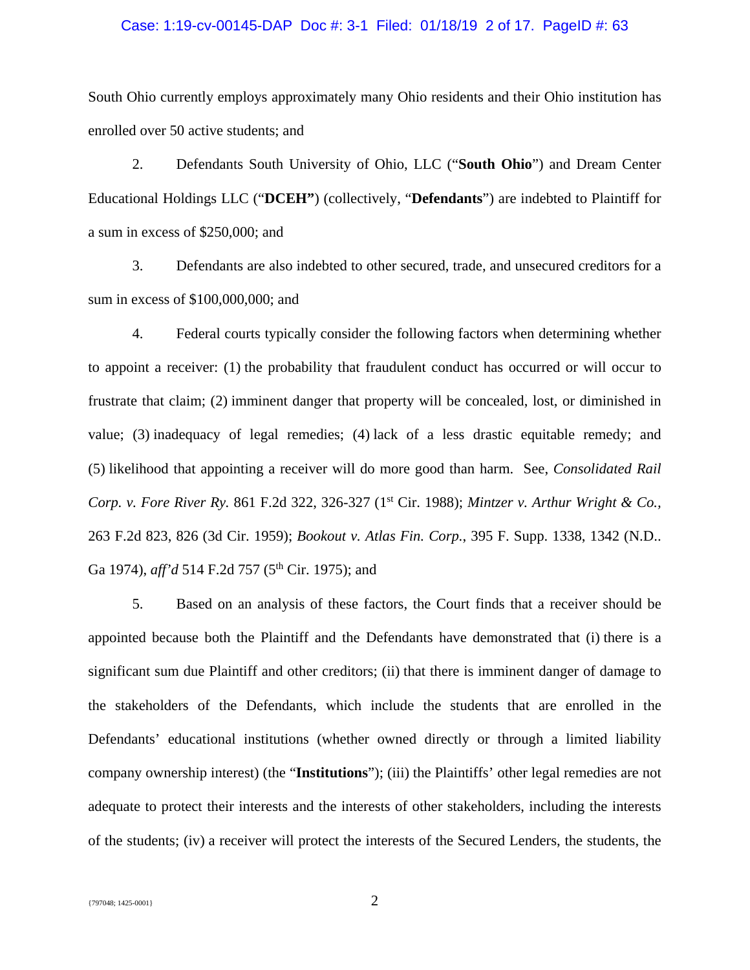## Case: 1:19-cv-00145-DAP Doc #: 3-1 Filed: 01/18/19 2 of 17. PageID #: 63

South Ohio currently employs approximately many Ohio residents and their Ohio institution has enrolled over 50 active students; and

2. Defendants South University of Ohio, LLC ("**South Ohio**") and Dream Center Educational Holdings LLC ("**DCEH"**) (collectively, "**Defendants**") are indebted to Plaintiff for a sum in excess of \$250,000; and

3. Defendants are also indebted to other secured, trade, and unsecured creditors for a sum in excess of \$100,000,000; and

4. Federal courts typically consider the following factors when determining whether to appoint a receiver: (1) the probability that fraudulent conduct has occurred or will occur to frustrate that claim; (2) imminent danger that property will be concealed, lost, or diminished in value; (3) inadequacy of legal remedies; (4) lack of a less drastic equitable remedy; and (5) likelihood that appointing a receiver will do more good than harm. See, *Consolidated Rail Corp. v. Fore River Ry.* 861 F.2d 322, 326-327 (1<sup>st</sup> Cir. 1988); *Mintzer v. Arthur Wright & Co.*, 263 F.2d 823, 826 (3d Cir. 1959); *Bookout v. Atlas Fin. Corp.*, 395 F. Supp. 1338, 1342 (N.D.. Ga 1974), *aff'd* 514 F.2d 757 (5<sup>th</sup> Cir. 1975); and

5. Based on an analysis of these factors, the Court finds that a receiver should be appointed because both the Plaintiff and the Defendants have demonstrated that (i) there is a significant sum due Plaintiff and other creditors; (ii) that there is imminent danger of damage to the stakeholders of the Defendants, which include the students that are enrolled in the Defendants' educational institutions (whether owned directly or through a limited liability company ownership interest) (the "**Institutions**"); (iii) the Plaintiffs' other legal remedies are not adequate to protect their interests and the interests of other stakeholders, including the interests of the students; (iv) a receiver will protect the interests of the Secured Lenders, the students, the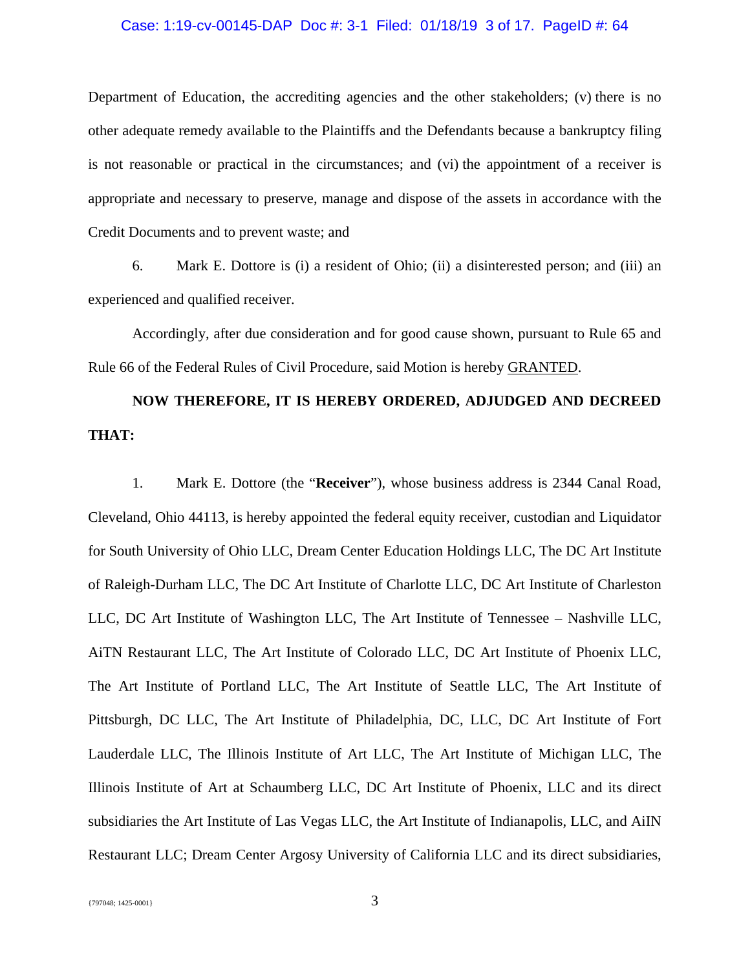#### Case: 1:19-cv-00145-DAP Doc #: 3-1 Filed: 01/18/19 3 of 17. PageID #: 64

Department of Education, the accrediting agencies and the other stakeholders; (v) there is no other adequate remedy available to the Plaintiffs and the Defendants because a bankruptcy filing is not reasonable or practical in the circumstances; and (vi) the appointment of a receiver is appropriate and necessary to preserve, manage and dispose of the assets in accordance with the Credit Documents and to prevent waste; and

6. Mark E. Dottore is (i) a resident of Ohio; (ii) a disinterested person; and (iii) an experienced and qualified receiver.

Accordingly, after due consideration and for good cause shown, pursuant to Rule 65 and Rule 66 of the Federal Rules of Civil Procedure, said Motion is hereby GRANTED.

# **NOW THEREFORE, IT IS HEREBY ORDERED, ADJUDGED AND DECREED THAT:**

1. Mark E. Dottore (the "**Receiver**"), whose business address is 2344 Canal Road, Cleveland, Ohio 44113, is hereby appointed the federal equity receiver, custodian and Liquidator for South University of Ohio LLC, Dream Center Education Holdings LLC, The DC Art Institute of Raleigh-Durham LLC, The DC Art Institute of Charlotte LLC, DC Art Institute of Charleston LLC, DC Art Institute of Washington LLC, The Art Institute of Tennessee – Nashville LLC, AiTN Restaurant LLC, The Art Institute of Colorado LLC, DC Art Institute of Phoenix LLC, The Art Institute of Portland LLC, The Art Institute of Seattle LLC, The Art Institute of Pittsburgh, DC LLC, The Art Institute of Philadelphia, DC, LLC, DC Art Institute of Fort Lauderdale LLC, The Illinois Institute of Art LLC, The Art Institute of Michigan LLC, The Illinois Institute of Art at Schaumberg LLC, DC Art Institute of Phoenix, LLC and its direct subsidiaries the Art Institute of Las Vegas LLC, the Art Institute of Indianapolis, LLC, and AiIN Restaurant LLC; Dream Center Argosy University of California LLC and its direct subsidiaries,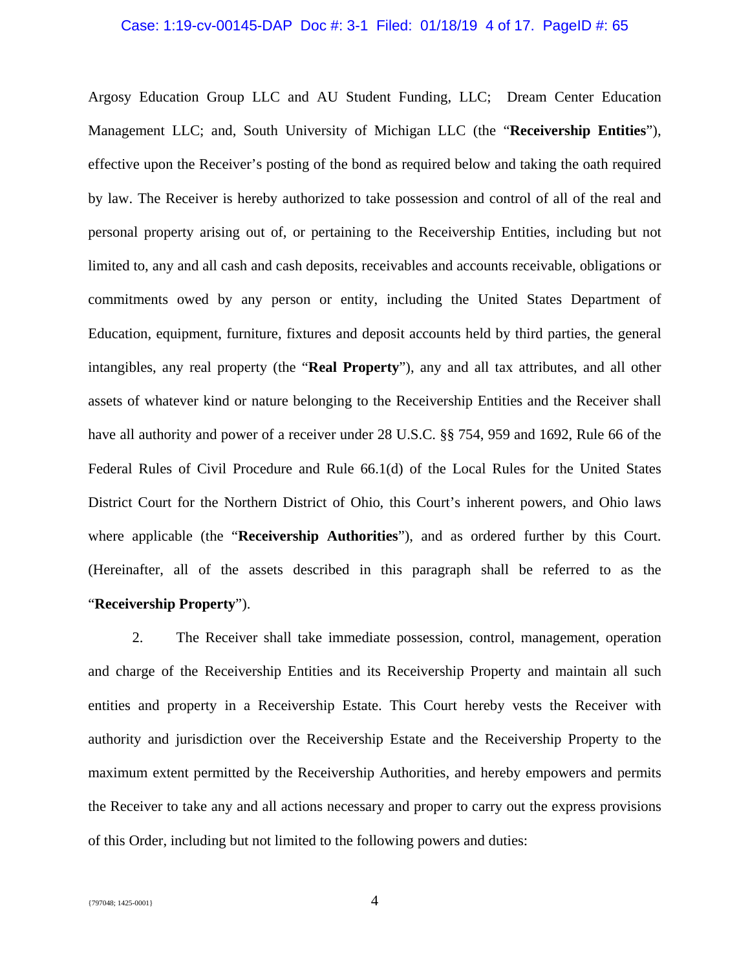## Case: 1:19-cv-00145-DAP Doc #: 3-1 Filed: 01/18/19 4 of 17. PageID #: 65

Argosy Education Group LLC and AU Student Funding, LLC; Dream Center Education Management LLC; and, South University of Michigan LLC (the "**Receivership Entities**"), effective upon the Receiver's posting of the bond as required below and taking the oath required by law. The Receiver is hereby authorized to take possession and control of all of the real and personal property arising out of, or pertaining to the Receivership Entities, including but not limited to, any and all cash and cash deposits, receivables and accounts receivable, obligations or commitments owed by any person or entity, including the United States Department of Education, equipment, furniture, fixtures and deposit accounts held by third parties, the general intangibles, any real property (the "**Real Property**"), any and all tax attributes, and all other assets of whatever kind or nature belonging to the Receivership Entities and the Receiver shall have all authority and power of a receiver under 28 U.S.C. §§ 754, 959 and 1692, Rule 66 of the Federal Rules of Civil Procedure and Rule 66.1(d) of the Local Rules for the United States District Court for the Northern District of Ohio, this Court's inherent powers, and Ohio laws where applicable (the "**Receivership Authorities**"), and as ordered further by this Court. (Hereinafter, all of the assets described in this paragraph shall be referred to as the "**Receivership Property**").

2. The Receiver shall take immediate possession, control, management, operation and charge of the Receivership Entities and its Receivership Property and maintain all such entities and property in a Receivership Estate. This Court hereby vests the Receiver with authority and jurisdiction over the Receivership Estate and the Receivership Property to the maximum extent permitted by the Receivership Authorities, and hereby empowers and permits the Receiver to take any and all actions necessary and proper to carry out the express provisions of this Order, including but not limited to the following powers and duties: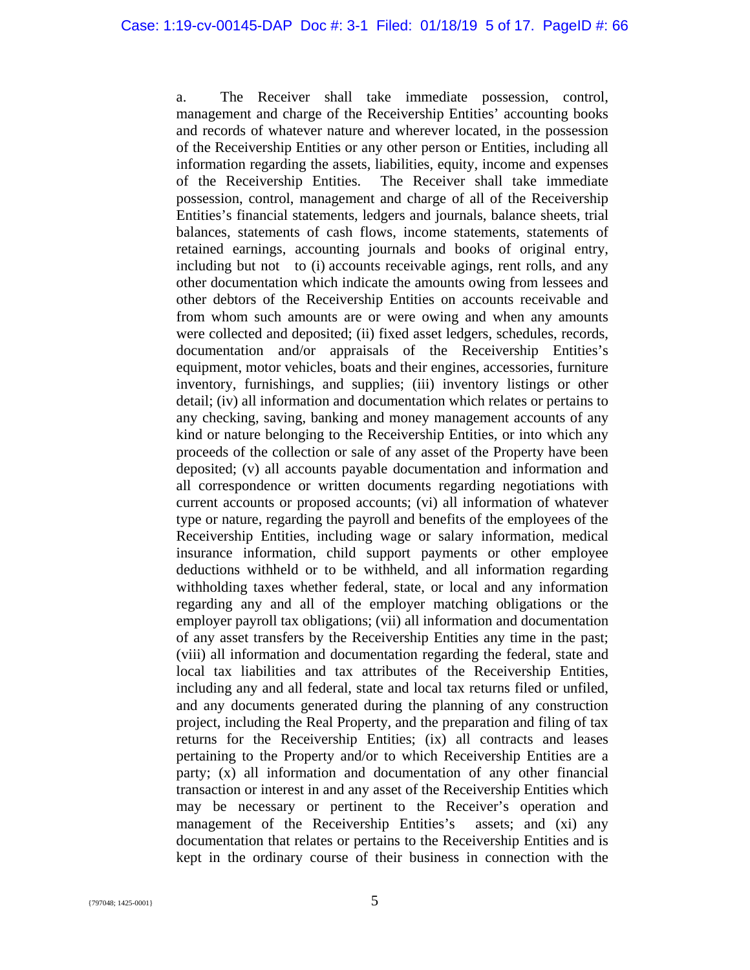a. The Receiver shall take immediate possession, control, management and charge of the Receivership Entities' accounting books and records of whatever nature and wherever located, in the possession of the Receivership Entities or any other person or Entities, including all information regarding the assets, liabilities, equity, income and expenses of the Receivership Entities. The Receiver shall take immediate possession, control, management and charge of all of the Receivership Entities's financial statements, ledgers and journals, balance sheets, trial balances, statements of cash flows, income statements, statements of retained earnings, accounting journals and books of original entry, including but not to (i) accounts receivable agings, rent rolls, and any other documentation which indicate the amounts owing from lessees and other debtors of the Receivership Entities on accounts receivable and from whom such amounts are or were owing and when any amounts were collected and deposited; (ii) fixed asset ledgers, schedules, records, documentation and/or appraisals of the Receivership Entities's equipment, motor vehicles, boats and their engines, accessories, furniture inventory, furnishings, and supplies; (iii) inventory listings or other detail; (iv) all information and documentation which relates or pertains to any checking, saving, banking and money management accounts of any kind or nature belonging to the Receivership Entities, or into which any proceeds of the collection or sale of any asset of the Property have been deposited; (v) all accounts payable documentation and information and all correspondence or written documents regarding negotiations with current accounts or proposed accounts; (vi) all information of whatever type or nature, regarding the payroll and benefits of the employees of the Receivership Entities, including wage or salary information, medical insurance information, child support payments or other employee deductions withheld or to be withheld, and all information regarding withholding taxes whether federal, state, or local and any information regarding any and all of the employer matching obligations or the employer payroll tax obligations; (vii) all information and documentation of any asset transfers by the Receivership Entities any time in the past; (viii) all information and documentation regarding the federal, state and local tax liabilities and tax attributes of the Receivership Entities, including any and all federal, state and local tax returns filed or unfiled, and any documents generated during the planning of any construction project, including the Real Property, and the preparation and filing of tax returns for the Receivership Entities; (ix) all contracts and leases pertaining to the Property and/or to which Receivership Entities are a party; (x) all information and documentation of any other financial transaction or interest in and any asset of the Receivership Entities which may be necessary or pertinent to the Receiver's operation and management of the Receivership Entities's assets; and (xi) any documentation that relates or pertains to the Receivership Entities and is kept in the ordinary course of their business in connection with the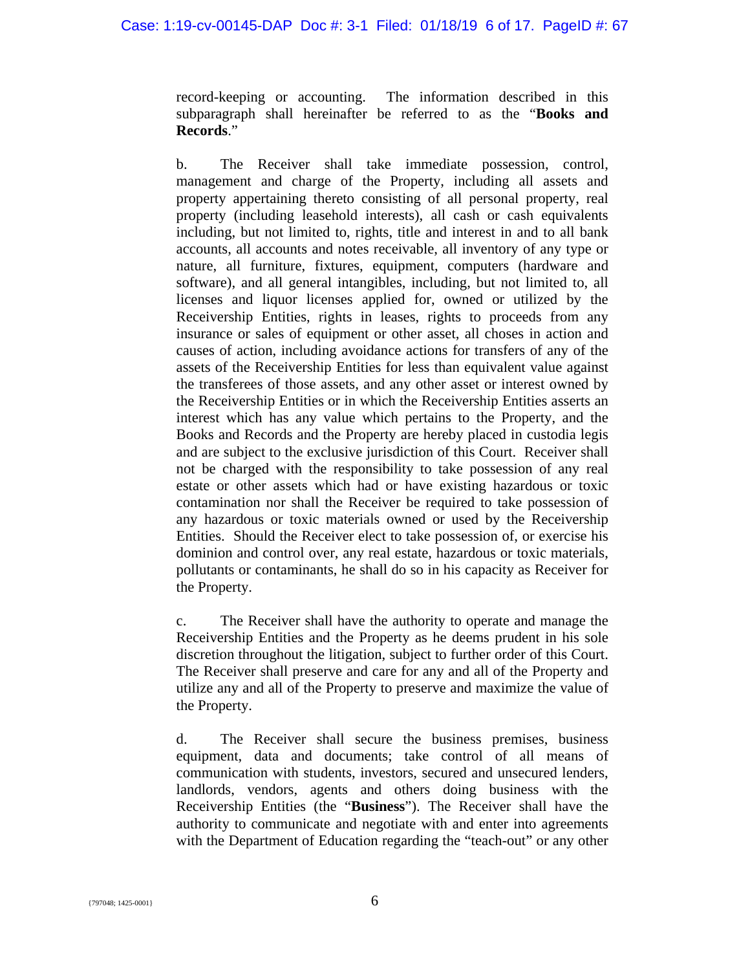record-keeping or accounting. The information described in this subparagraph shall hereinafter be referred to as the "**Books and Records**."

b. The Receiver shall take immediate possession, control, management and charge of the Property, including all assets and property appertaining thereto consisting of all personal property, real property (including leasehold interests), all cash or cash equivalents including, but not limited to, rights, title and interest in and to all bank accounts, all accounts and notes receivable, all inventory of any type or nature, all furniture, fixtures, equipment, computers (hardware and software), and all general intangibles, including, but not limited to, all licenses and liquor licenses applied for, owned or utilized by the Receivership Entities, rights in leases, rights to proceeds from any insurance or sales of equipment or other asset, all choses in action and causes of action, including avoidance actions for transfers of any of the assets of the Receivership Entities for less than equivalent value against the transferees of those assets, and any other asset or interest owned by the Receivership Entities or in which the Receivership Entities asserts an interest which has any value which pertains to the Property, and the Books and Records and the Property are hereby placed in custodia legis and are subject to the exclusive jurisdiction of this Court. Receiver shall not be charged with the responsibility to take possession of any real estate or other assets which had or have existing hazardous or toxic contamination nor shall the Receiver be required to take possession of any hazardous or toxic materials owned or used by the Receivership Entities. Should the Receiver elect to take possession of, or exercise his dominion and control over, any real estate, hazardous or toxic materials, pollutants or contaminants, he shall do so in his capacity as Receiver for the Property.

c. The Receiver shall have the authority to operate and manage the Receivership Entities and the Property as he deems prudent in his sole discretion throughout the litigation, subject to further order of this Court. The Receiver shall preserve and care for any and all of the Property and utilize any and all of the Property to preserve and maximize the value of the Property.

d. The Receiver shall secure the business premises, business equipment, data and documents; take control of all means of communication with students, investors, secured and unsecured lenders, landlords, vendors, agents and others doing business with the Receivership Entities (the "**Business**"). The Receiver shall have the authority to communicate and negotiate with and enter into agreements with the Department of Education regarding the "teach-out" or any other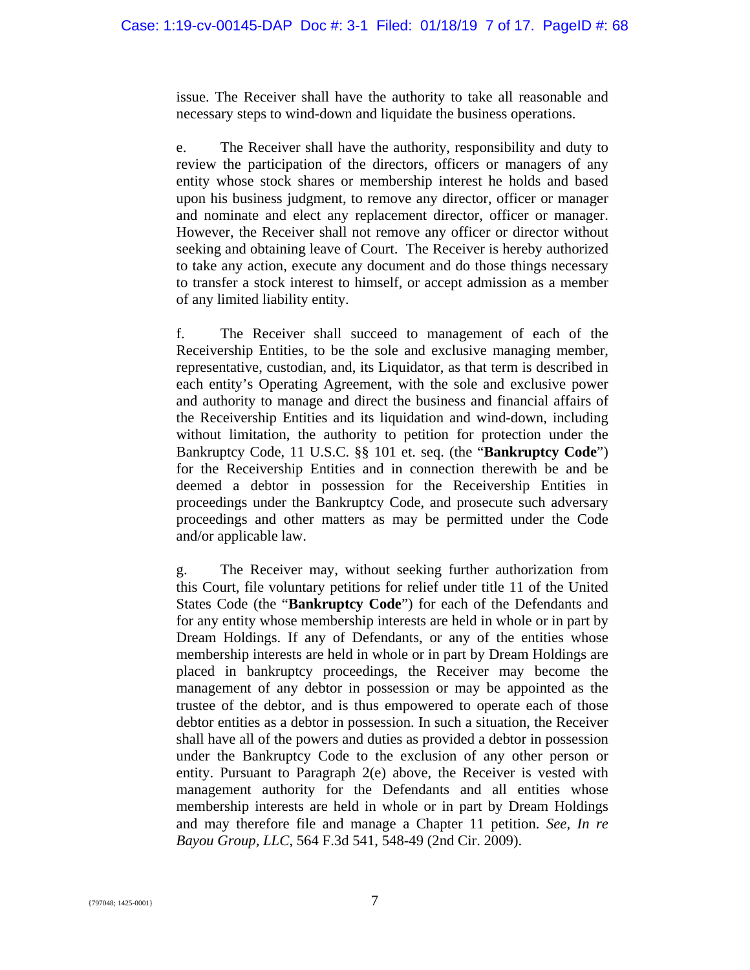issue. The Receiver shall have the authority to take all reasonable and necessary steps to wind-down and liquidate the business operations.

e. The Receiver shall have the authority, responsibility and duty to review the participation of the directors, officers or managers of any entity whose stock shares or membership interest he holds and based upon his business judgment, to remove any director, officer or manager and nominate and elect any replacement director, officer or manager. However, the Receiver shall not remove any officer or director without seeking and obtaining leave of Court. The Receiver is hereby authorized to take any action, execute any document and do those things necessary to transfer a stock interest to himself, or accept admission as a member of any limited liability entity.

f. The Receiver shall succeed to management of each of the Receivership Entities, to be the sole and exclusive managing member, representative, custodian, and, its Liquidator, as that term is described in each entity's Operating Agreement, with the sole and exclusive power and authority to manage and direct the business and financial affairs of the Receivership Entities and its liquidation and wind-down, including without limitation, the authority to petition for protection under the Bankruptcy Code, 11 U.S.C. §§ 101 et. seq. (the "**Bankruptcy Code**") for the Receivership Entities and in connection therewith be and be deemed a debtor in possession for the Receivership Entities in proceedings under the Bankruptcy Code, and prosecute such adversary proceedings and other matters as may be permitted under the Code and/or applicable law.

g. The Receiver may, without seeking further authorization from this Court, file voluntary petitions for relief under title 11 of the United States Code (the "**Bankruptcy Code**") for each of the Defendants and for any entity whose membership interests are held in whole or in part by Dream Holdings. If any of Defendants, or any of the entities whose membership interests are held in whole or in part by Dream Holdings are placed in bankruptcy proceedings, the Receiver may become the management of any debtor in possession or may be appointed as the trustee of the debtor, and is thus empowered to operate each of those debtor entities as a debtor in possession. In such a situation, the Receiver shall have all of the powers and duties as provided a debtor in possession under the Bankruptcy Code to the exclusion of any other person or entity. Pursuant to Paragraph 2(e) above, the Receiver is vested with management authority for the Defendants and all entities whose membership interests are held in whole or in part by Dream Holdings and may therefore file and manage a Chapter 11 petition. *See, In re Bayou Group, LLC*, 564 F.3d 541, 548-49 (2nd Cir. 2009).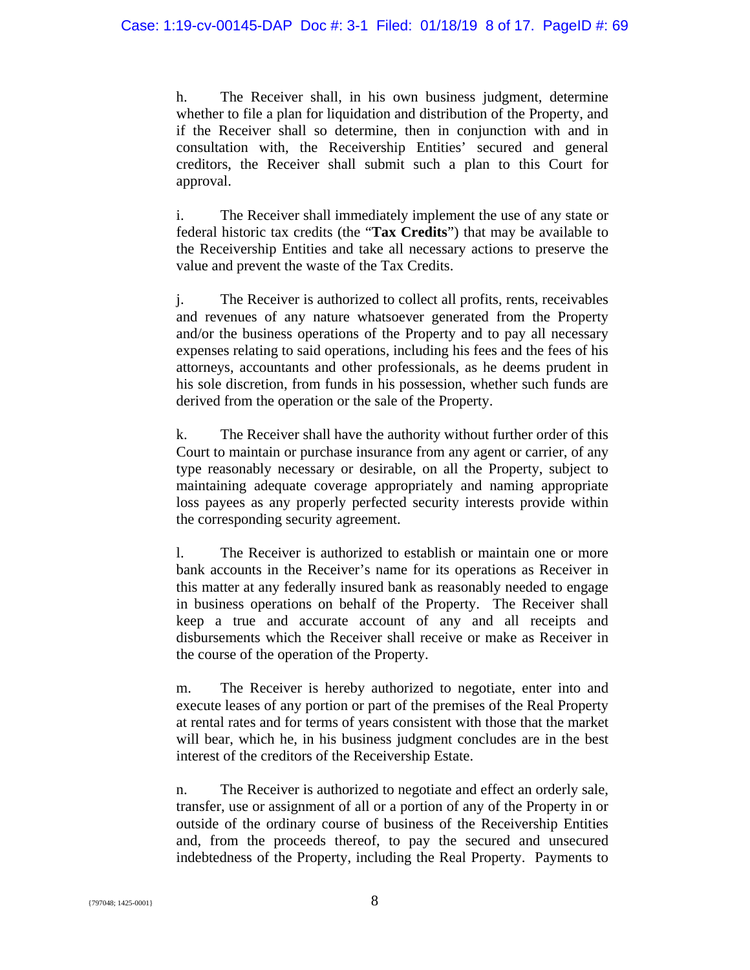h. The Receiver shall, in his own business judgment, determine whether to file a plan for liquidation and distribution of the Property, and if the Receiver shall so determine, then in conjunction with and in consultation with, the Receivership Entities' secured and general creditors, the Receiver shall submit such a plan to this Court for approval.

i. The Receiver shall immediately implement the use of any state or federal historic tax credits (the "**Tax Credits**") that may be available to the Receivership Entities and take all necessary actions to preserve the value and prevent the waste of the Tax Credits.

j. The Receiver is authorized to collect all profits, rents, receivables and revenues of any nature whatsoever generated from the Property and/or the business operations of the Property and to pay all necessary expenses relating to said operations, including his fees and the fees of his attorneys, accountants and other professionals, as he deems prudent in his sole discretion, from funds in his possession, whether such funds are derived from the operation or the sale of the Property.

k. The Receiver shall have the authority without further order of this Court to maintain or purchase insurance from any agent or carrier, of any type reasonably necessary or desirable, on all the Property, subject to maintaining adequate coverage appropriately and naming appropriate loss payees as any properly perfected security interests provide within the corresponding security agreement.

l. The Receiver is authorized to establish or maintain one or more bank accounts in the Receiver's name for its operations as Receiver in this matter at any federally insured bank as reasonably needed to engage in business operations on behalf of the Property. The Receiver shall keep a true and accurate account of any and all receipts and disbursements which the Receiver shall receive or make as Receiver in the course of the operation of the Property.

m. The Receiver is hereby authorized to negotiate, enter into and execute leases of any portion or part of the premises of the Real Property at rental rates and for terms of years consistent with those that the market will bear, which he, in his business judgment concludes are in the best interest of the creditors of the Receivership Estate.

n. The Receiver is authorized to negotiate and effect an orderly sale, transfer, use or assignment of all or a portion of any of the Property in or outside of the ordinary course of business of the Receivership Entities and, from the proceeds thereof, to pay the secured and unsecured indebtedness of the Property, including the Real Property. Payments to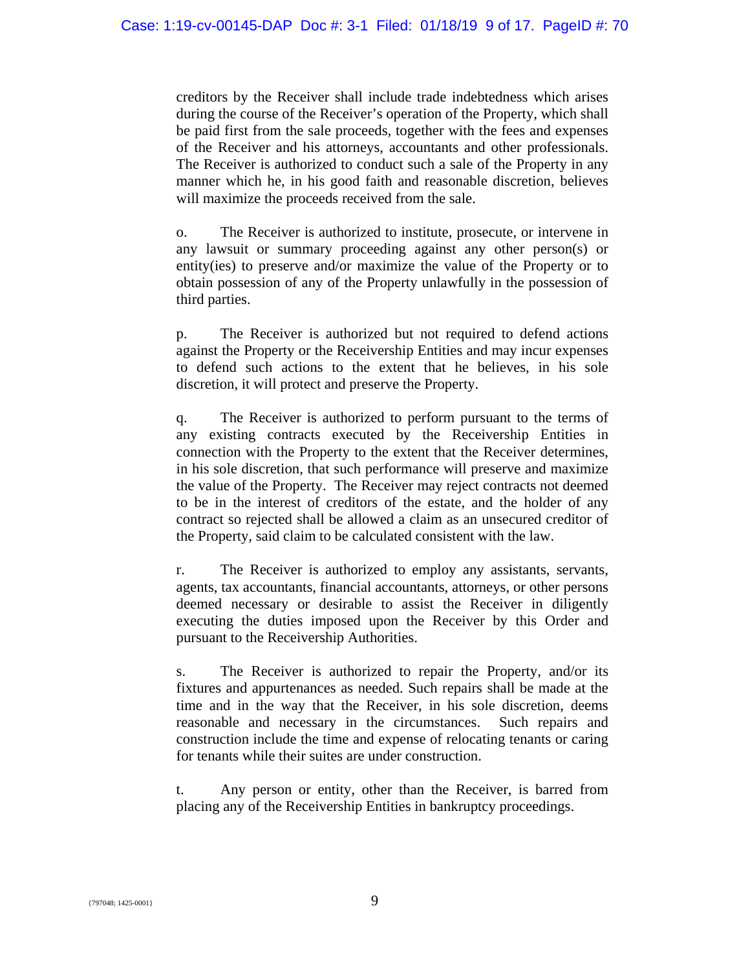creditors by the Receiver shall include trade indebtedness which arises during the course of the Receiver's operation of the Property, which shall be paid first from the sale proceeds, together with the fees and expenses of the Receiver and his attorneys, accountants and other professionals. The Receiver is authorized to conduct such a sale of the Property in any manner which he, in his good faith and reasonable discretion, believes will maximize the proceeds received from the sale.

o. The Receiver is authorized to institute, prosecute, or intervene in any lawsuit or summary proceeding against any other person(s) or entity(ies) to preserve and/or maximize the value of the Property or to obtain possession of any of the Property unlawfully in the possession of third parties.

p. The Receiver is authorized but not required to defend actions against the Property or the Receivership Entities and may incur expenses to defend such actions to the extent that he believes, in his sole discretion, it will protect and preserve the Property.

q. The Receiver is authorized to perform pursuant to the terms of any existing contracts executed by the Receivership Entities in connection with the Property to the extent that the Receiver determines, in his sole discretion, that such performance will preserve and maximize the value of the Property. The Receiver may reject contracts not deemed to be in the interest of creditors of the estate, and the holder of any contract so rejected shall be allowed a claim as an unsecured creditor of the Property, said claim to be calculated consistent with the law.

r. The Receiver is authorized to employ any assistants, servants, agents, tax accountants, financial accountants, attorneys, or other persons deemed necessary or desirable to assist the Receiver in diligently executing the duties imposed upon the Receiver by this Order and pursuant to the Receivership Authorities.

s. The Receiver is authorized to repair the Property, and/or its fixtures and appurtenances as needed. Such repairs shall be made at the time and in the way that the Receiver, in his sole discretion, deems reasonable and necessary in the circumstances. Such repairs and construction include the time and expense of relocating tenants or caring for tenants while their suites are under construction.

t. Any person or entity, other than the Receiver, is barred from placing any of the Receivership Entities in bankruptcy proceedings.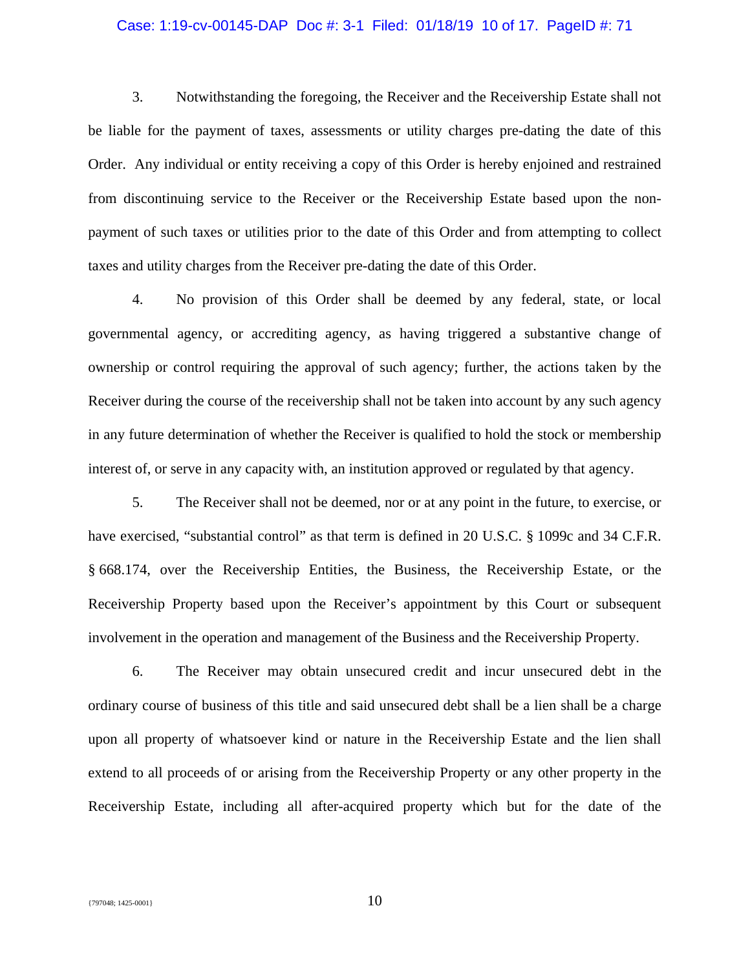## Case: 1:19-cv-00145-DAP Doc #: 3-1 Filed: 01/18/19 10 of 17. PageID #: 71

3. Notwithstanding the foregoing, the Receiver and the Receivership Estate shall not be liable for the payment of taxes, assessments or utility charges pre-dating the date of this Order. Any individual or entity receiving a copy of this Order is hereby enjoined and restrained from discontinuing service to the Receiver or the Receivership Estate based upon the nonpayment of such taxes or utilities prior to the date of this Order and from attempting to collect taxes and utility charges from the Receiver pre-dating the date of this Order.

4. No provision of this Order shall be deemed by any federal, state, or local governmental agency, or accrediting agency, as having triggered a substantive change of ownership or control requiring the approval of such agency; further, the actions taken by the Receiver during the course of the receivership shall not be taken into account by any such agency in any future determination of whether the Receiver is qualified to hold the stock or membership interest of, or serve in any capacity with, an institution approved or regulated by that agency.

5. The Receiver shall not be deemed, nor or at any point in the future, to exercise, or have exercised, "substantial control" as that term is defined in 20 U.S.C. § 1099c and 34 C.F.R. § 668.174, over the Receivership Entities, the Business, the Receivership Estate, or the Receivership Property based upon the Receiver's appointment by this Court or subsequent involvement in the operation and management of the Business and the Receivership Property.

6. The Receiver may obtain unsecured credit and incur unsecured debt in the ordinary course of business of this title and said unsecured debt shall be a lien shall be a charge upon all property of whatsoever kind or nature in the Receivership Estate and the lien shall extend to all proceeds of or arising from the Receivership Property or any other property in the Receivership Estate, including all after-acquired property which but for the date of the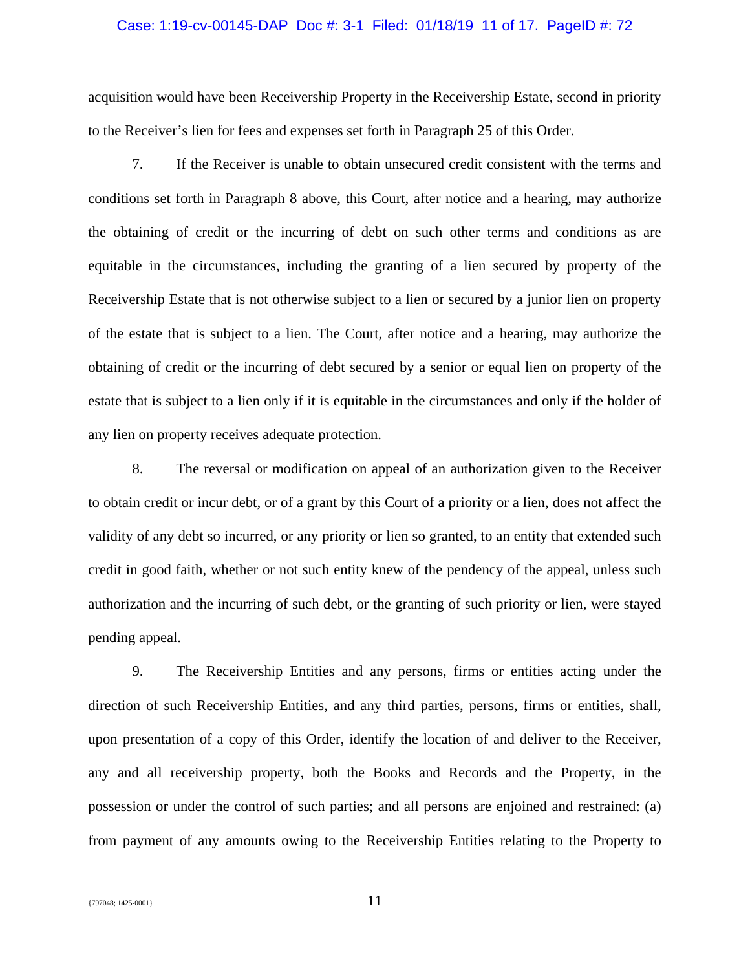## Case: 1:19-cv-00145-DAP Doc #: 3-1 Filed: 01/18/19 11 of 17. PageID #: 72

acquisition would have been Receivership Property in the Receivership Estate, second in priority to the Receiver's lien for fees and expenses set forth in Paragraph 25 of this Order.

7. If the Receiver is unable to obtain unsecured credit consistent with the terms and conditions set forth in Paragraph 8 above, this Court, after notice and a hearing, may authorize the obtaining of credit or the incurring of debt on such other terms and conditions as are equitable in the circumstances, including the granting of a lien secured by property of the Receivership Estate that is not otherwise subject to a lien or secured by a junior lien on property of the estate that is subject to a lien. The Court, after notice and a hearing, may authorize the obtaining of credit or the incurring of debt secured by a senior or equal lien on property of the estate that is subject to a lien only if it is equitable in the circumstances and only if the holder of any lien on property receives adequate protection.

8. The reversal or modification on appeal of an authorization given to the Receiver to obtain credit or incur debt, or of a grant by this Court of a priority or a lien, does not affect the validity of any debt so incurred, or any priority or lien so granted, to an entity that extended such credit in good faith, whether or not such entity knew of the pendency of the appeal, unless such authorization and the incurring of such debt, or the granting of such priority or lien, were stayed pending appeal.

9. The Receivership Entities and any persons, firms or entities acting under the direction of such Receivership Entities, and any third parties, persons, firms or entities, shall, upon presentation of a copy of this Order, identify the location of and deliver to the Receiver, any and all receivership property, both the Books and Records and the Property, in the possession or under the control of such parties; and all persons are enjoined and restrained: (a) from payment of any amounts owing to the Receivership Entities relating to the Property to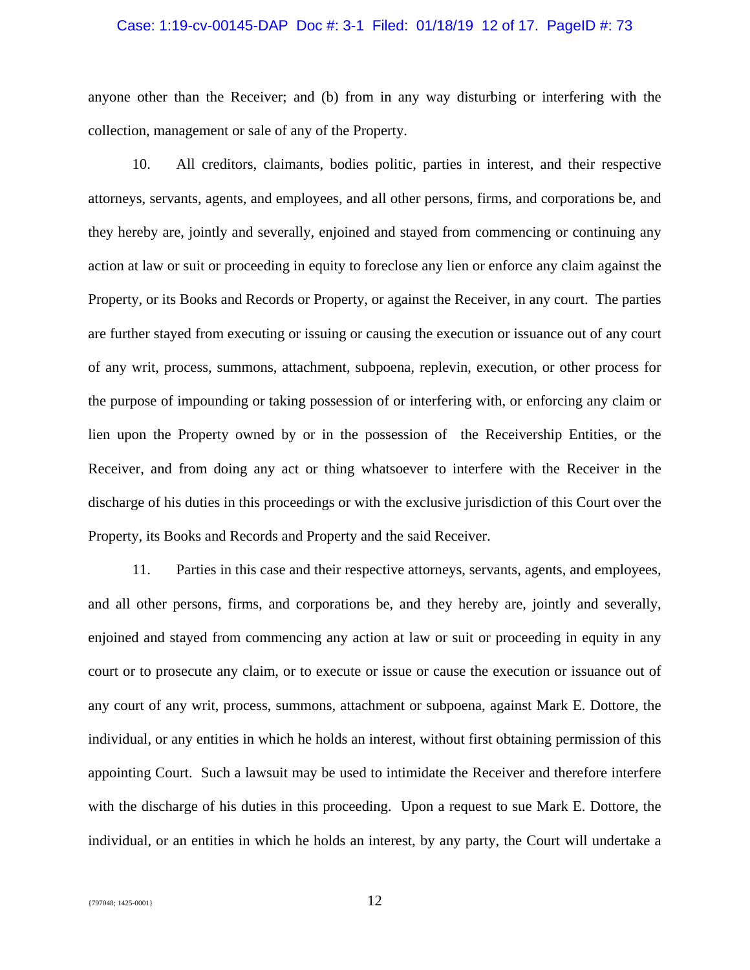## Case: 1:19-cv-00145-DAP Doc #: 3-1 Filed: 01/18/19 12 of 17. PageID #: 73

anyone other than the Receiver; and (b) from in any way disturbing or interfering with the collection, management or sale of any of the Property.

10. All creditors, claimants, bodies politic, parties in interest, and their respective attorneys, servants, agents, and employees, and all other persons, firms, and corporations be, and they hereby are, jointly and severally, enjoined and stayed from commencing or continuing any action at law or suit or proceeding in equity to foreclose any lien or enforce any claim against the Property, or its Books and Records or Property, or against the Receiver, in any court. The parties are further stayed from executing or issuing or causing the execution or issuance out of any court of any writ, process, summons, attachment, subpoena, replevin, execution, or other process for the purpose of impounding or taking possession of or interfering with, or enforcing any claim or lien upon the Property owned by or in the possession of the Receivership Entities, or the Receiver, and from doing any act or thing whatsoever to interfere with the Receiver in the discharge of his duties in this proceedings or with the exclusive jurisdiction of this Court over the Property, its Books and Records and Property and the said Receiver.

11. Parties in this case and their respective attorneys, servants, agents, and employees, and all other persons, firms, and corporations be, and they hereby are, jointly and severally, enjoined and stayed from commencing any action at law or suit or proceeding in equity in any court or to prosecute any claim, or to execute or issue or cause the execution or issuance out of any court of any writ, process, summons, attachment or subpoena, against Mark E. Dottore, the individual, or any entities in which he holds an interest, without first obtaining permission of this appointing Court. Such a lawsuit may be used to intimidate the Receiver and therefore interfere with the discharge of his duties in this proceeding. Upon a request to sue Mark E. Dottore, the individual, or an entities in which he holds an interest, by any party, the Court will undertake a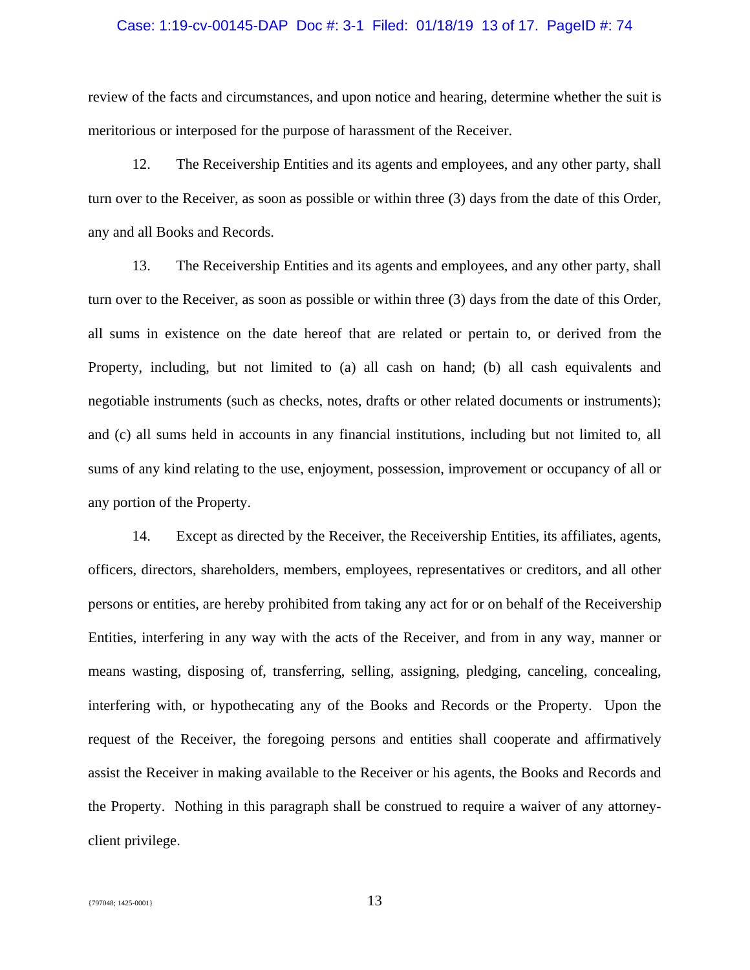## Case: 1:19-cv-00145-DAP Doc #: 3-1 Filed: 01/18/19 13 of 17. PageID #: 74

review of the facts and circumstances, and upon notice and hearing, determine whether the suit is meritorious or interposed for the purpose of harassment of the Receiver.

12. The Receivership Entities and its agents and employees, and any other party, shall turn over to the Receiver, as soon as possible or within three (3) days from the date of this Order, any and all Books and Records.

13. The Receivership Entities and its agents and employees, and any other party, shall turn over to the Receiver, as soon as possible or within three (3) days from the date of this Order, all sums in existence on the date hereof that are related or pertain to, or derived from the Property, including, but not limited to (a) all cash on hand; (b) all cash equivalents and negotiable instruments (such as checks, notes, drafts or other related documents or instruments); and (c) all sums held in accounts in any financial institutions, including but not limited to, all sums of any kind relating to the use, enjoyment, possession, improvement or occupancy of all or any portion of the Property.

14. Except as directed by the Receiver, the Receivership Entities, its affiliates, agents, officers, directors, shareholders, members, employees, representatives or creditors, and all other persons or entities, are hereby prohibited from taking any act for or on behalf of the Receivership Entities, interfering in any way with the acts of the Receiver, and from in any way, manner or means wasting, disposing of, transferring, selling, assigning, pledging, canceling, concealing, interfering with, or hypothecating any of the Books and Records or the Property. Upon the request of the Receiver, the foregoing persons and entities shall cooperate and affirmatively assist the Receiver in making available to the Receiver or his agents, the Books and Records and the Property. Nothing in this paragraph shall be construed to require a waiver of any attorneyclient privilege.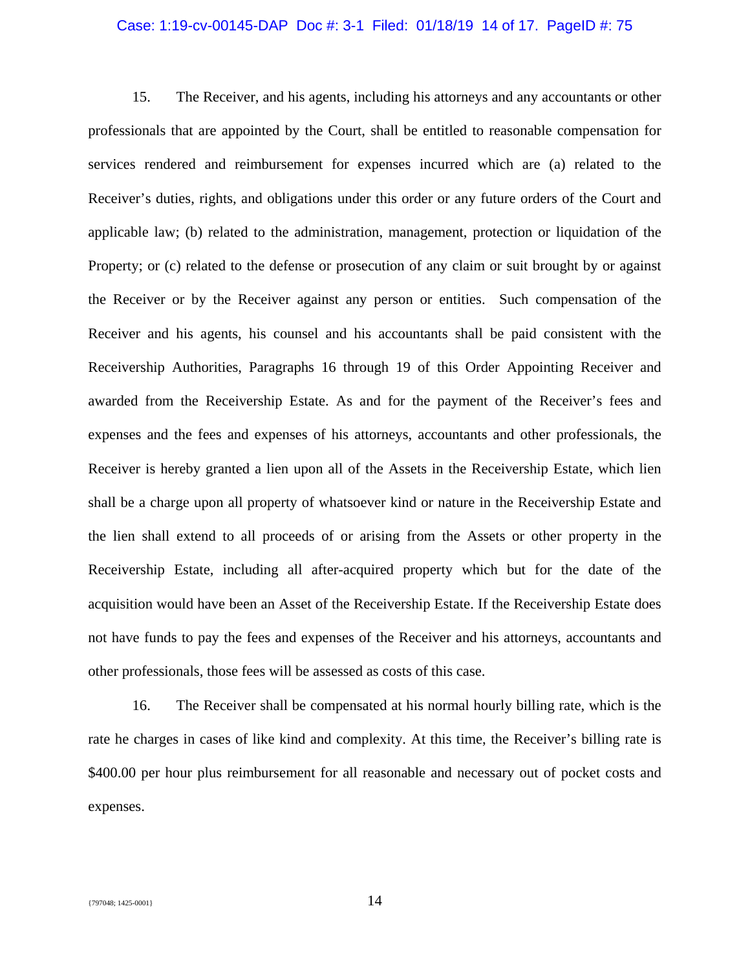## Case: 1:19-cv-00145-DAP Doc #: 3-1 Filed: 01/18/19 14 of 17. PageID #: 75

15. The Receiver, and his agents, including his attorneys and any accountants or other professionals that are appointed by the Court, shall be entitled to reasonable compensation for services rendered and reimbursement for expenses incurred which are (a) related to the Receiver's duties, rights, and obligations under this order or any future orders of the Court and applicable law; (b) related to the administration, management, protection or liquidation of the Property; or (c) related to the defense or prosecution of any claim or suit brought by or against the Receiver or by the Receiver against any person or entities. Such compensation of the Receiver and his agents, his counsel and his accountants shall be paid consistent with the Receivership Authorities, Paragraphs 16 through 19 of this Order Appointing Receiver and awarded from the Receivership Estate. As and for the payment of the Receiver's fees and expenses and the fees and expenses of his attorneys, accountants and other professionals, the Receiver is hereby granted a lien upon all of the Assets in the Receivership Estate, which lien shall be a charge upon all property of whatsoever kind or nature in the Receivership Estate and the lien shall extend to all proceeds of or arising from the Assets or other property in the Receivership Estate, including all after-acquired property which but for the date of the acquisition would have been an Asset of the Receivership Estate. If the Receivership Estate does not have funds to pay the fees and expenses of the Receiver and his attorneys, accountants and other professionals, those fees will be assessed as costs of this case.

16. The Receiver shall be compensated at his normal hourly billing rate, which is the rate he charges in cases of like kind and complexity. At this time, the Receiver's billing rate is \$400.00 per hour plus reimbursement for all reasonable and necessary out of pocket costs and expenses.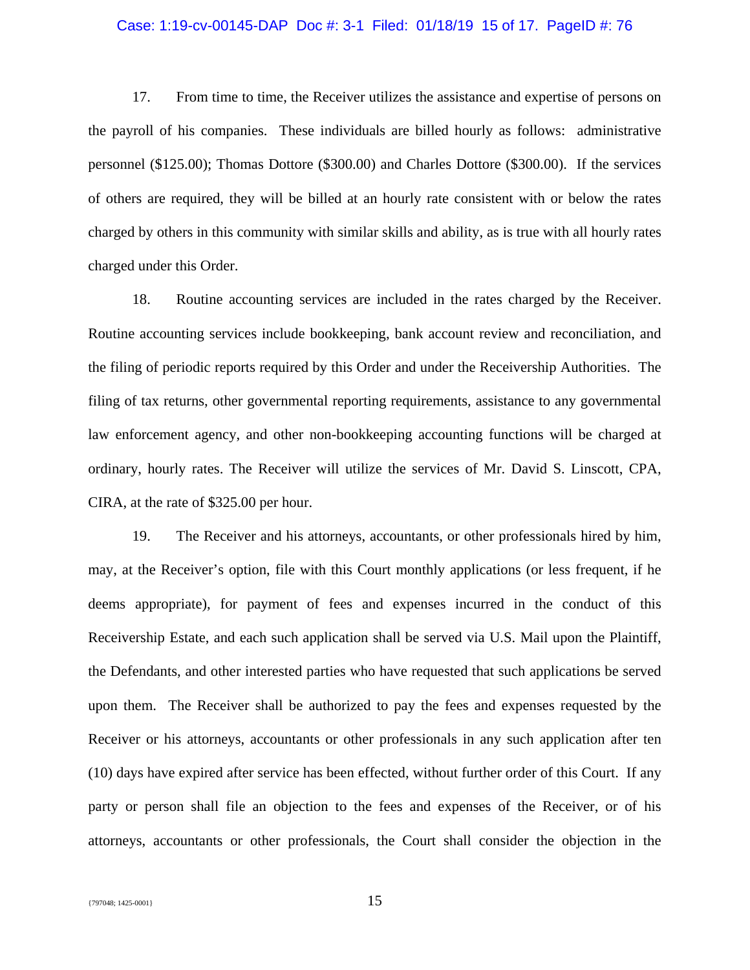## Case: 1:19-cv-00145-DAP Doc #: 3-1 Filed: 01/18/19 15 of 17. PageID #: 76

17. From time to time, the Receiver utilizes the assistance and expertise of persons on the payroll of his companies. These individuals are billed hourly as follows: administrative personnel (\$125.00); Thomas Dottore (\$300.00) and Charles Dottore (\$300.00). If the services of others are required, they will be billed at an hourly rate consistent with or below the rates charged by others in this community with similar skills and ability, as is true with all hourly rates charged under this Order.

18. Routine accounting services are included in the rates charged by the Receiver. Routine accounting services include bookkeeping, bank account review and reconciliation, and the filing of periodic reports required by this Order and under the Receivership Authorities. The filing of tax returns, other governmental reporting requirements, assistance to any governmental law enforcement agency, and other non-bookkeeping accounting functions will be charged at ordinary, hourly rates. The Receiver will utilize the services of Mr. David S. Linscott, CPA, CIRA, at the rate of \$325.00 per hour.

19. The Receiver and his attorneys, accountants, or other professionals hired by him, may, at the Receiver's option, file with this Court monthly applications (or less frequent, if he deems appropriate), for payment of fees and expenses incurred in the conduct of this Receivership Estate, and each such application shall be served via U.S. Mail upon the Plaintiff, the Defendants, and other interested parties who have requested that such applications be served upon them. The Receiver shall be authorized to pay the fees and expenses requested by the Receiver or his attorneys, accountants or other professionals in any such application after ten (10) days have expired after service has been effected, without further order of this Court. If any party or person shall file an objection to the fees and expenses of the Receiver, or of his attorneys, accountants or other professionals, the Court shall consider the objection in the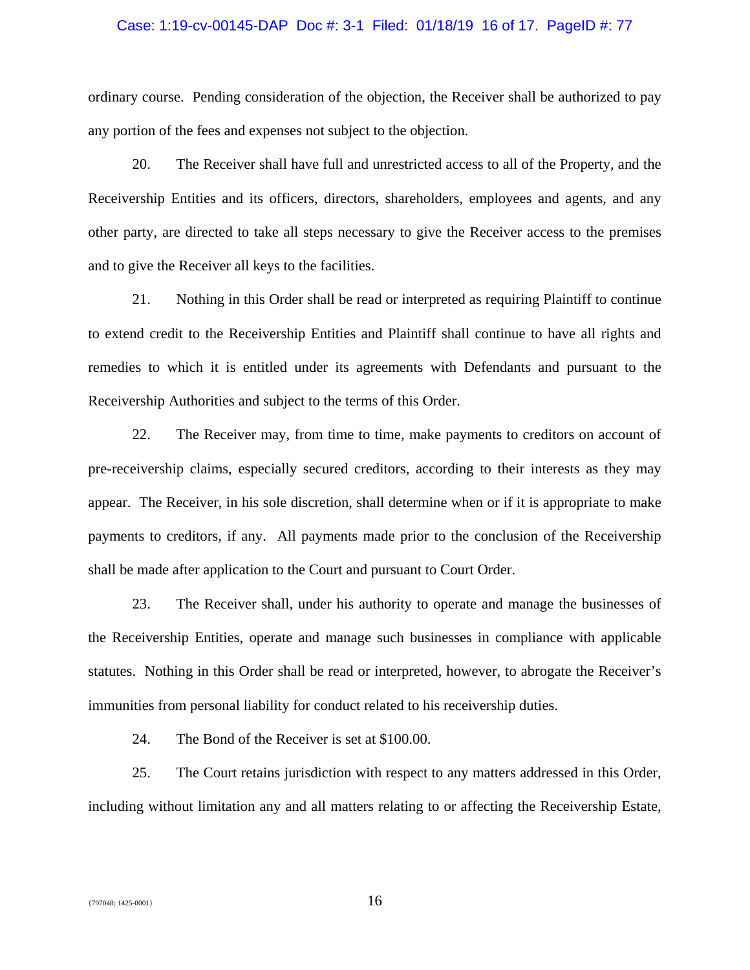## Case: 1:19-cv-00145-DAP Doc #: 3-1 Filed: 01/18/19 16 of 17. PageID #: 77

ordinary course. Pending consideration of the objection, the Receiver shall be authorized to pay any portion of the fees and expenses not subject to the objection.

20. The Receiver shall have full and unrestricted access to all of the Property, and the Receivership Entities and its officers, directors, shareholders, employees and agents, and any other party, are directed to take all steps necessary to give the Receiver access to the premises and to give the Receiver all keys to the facilities.

21. Nothing in this Order shall be read or interpreted as requiring Plaintiff to continue to extend credit to the Receivership Entities and Plaintiff shall continue to have all rights and remedies to which it is entitled under its agreements with Defendants and pursuant to the Receivership Authorities and subject to the terms of this Order.

22. The Receiver may, from time to time, make payments to creditors on account of pre-receivership claims, especially secured creditors, according to their interests as they may appear. The Receiver, in his sole discretion, shall determine when or if it is appropriate to make payments to creditors, if any. All payments made prior to the conclusion of the Receivership shall be made after application to the Court and pursuant to Court Order.

23. The Receiver shall, under his authority to operate and manage the businesses of the Receivership Entities, operate and manage such businesses in compliance with applicable statutes. Nothing in this Order shall be read or interpreted, however, to abrogate the Receiver's immunities from personal liability for conduct related to his receivership duties.

24. The Bond of the Receiver is set at \$100.00.

25. The Court retains jurisdiction with respect to any matters addressed in this Order, including without limitation any and all matters relating to or affecting the Receivership Estate,